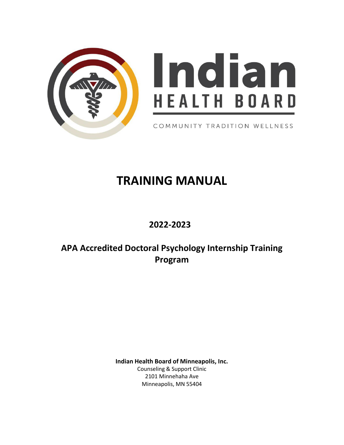



COMMUNITY TRADITION WELLNESS

# **TRAINING MANUAL**

# **2022-2023**

# **APA Accredited Doctoral Psychology Internship Training Program**

**Indian Health Board of Minneapolis, Inc.** Counseling & Support Clinic 2101 Minnehaha Ave Minneapolis, MN 55404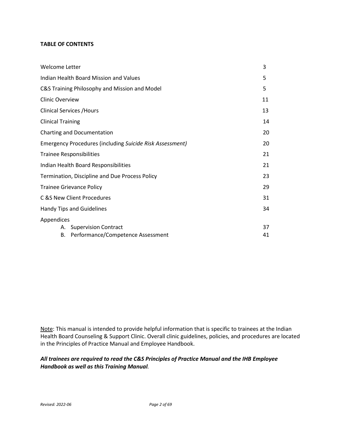# **TABLE OF CONTENTS**

| Welcome Letter                                           |    |  |
|----------------------------------------------------------|----|--|
| Indian Health Board Mission and Values                   |    |  |
| C&S Training Philosophy and Mission and Model            |    |  |
| <b>Clinic Overview</b>                                   | 11 |  |
| <b>Clinical Services / Hours</b>                         |    |  |
| <b>Clinical Training</b>                                 | 14 |  |
| Charting and Documentation                               |    |  |
| Emergency Procedures (including Suicide Risk Assessment) |    |  |
| <b>Trainee Responsibilities</b>                          |    |  |
| Indian Health Board Responsibilities                     |    |  |
| Termination, Discipline and Due Process Policy           |    |  |
| <b>Trainee Grievance Policy</b>                          |    |  |
| C &S New Client Procedures                               |    |  |
| Handy Tips and Guidelines                                |    |  |
| Appendices<br><b>Supervision Contract</b><br>А.          | 37 |  |
| Performance/Competence Assessment<br>В.                  | 41 |  |

Note: This manual is intended to provide helpful information that is specific to trainees at the Indian Health Board Counseling & Support Clinic. Overall clinic guidelines, policies, and procedures are located in the Principles of Practice Manual and Employee Handbook.

# *All trainees are required to read the C&S Principles of Practice Manual and the IHB Employee Handbook as well as this Training Manual.*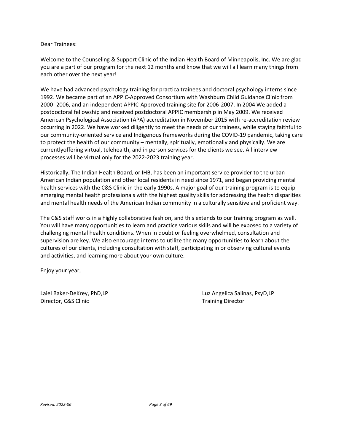#### Dear Trainees:

Welcome to the Counseling & Support Clinic of the Indian Health Board of Minneapolis, Inc. We are glad you are a part of our program for the next 12 months and know that we will all learn many things from each other over the next year!

We have had advanced psychology training for practica trainees and doctoral psychology interns since 1992. We became part of an APPIC-Approved Consortium with Washburn Child Guidance Clinic from 2000- 2006, and an independent APPIC-Approved training site for 2006-2007. In 2004 We added a postdoctoral fellowship and received postdoctoral APPIC membership in May 2009. We received American Psychological Association (APA) accreditation in November 2015 with re-accreditation review occurring in 2022. We have worked diligently to meet the needs of our trainees, while staying faithful to our community-oriented service and Indigenous frameworks during the COVID-19 pandemic, taking care to protect the health of our community – mentally, spiritually, emotionally and physically. We are currentlyoffering virtual, telehealth, and in person services for the clients we see. All interview processes will be virtual only for the 2022-2023 training year.

Historically, The Indian Health Board, or IHB, has been an important service provider to the urban American Indian population and other local residents in need since 1971, and began providing mental health services with the C&S Clinic in the early 1990s. A major goal of our training program is to equip emerging mental health professionals with the highest quality skills for addressing the health disparities and mental health needs of the American Indian community in a culturally sensitive and proficient way.

The C&S staff works in a highly collaborative fashion, and this extends to our training program as well. You will have many opportunities to learn and practice various skills and will be exposed to a variety of challenging mental health conditions. When in doubt or feeling overwhelmed, consultation and supervision are key. We also encourage interns to utilize the many opportunities to learn about the cultures of our clients, including consultation with staff, participating in or observing cultural events and activities, and learning more about your own culture.

Enjoy your year,

Director, C&S Clinic **Training Director** Training Director

Laiel Baker-DeKrey, PhD,LP Luz Angelica Salinas, PsyD,LP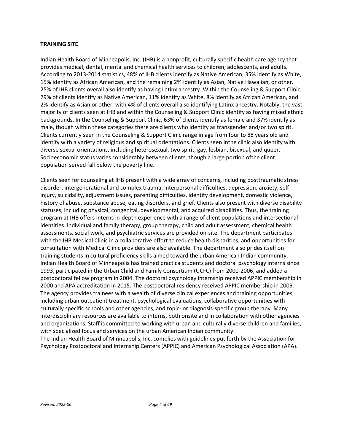## **TRAINING SITE**

Indian Health Board of Minneapolis, Inc. (IHB) is a nonprofit, culturally specific health care agency that provides medical, dental, mental and chemical health services to children, adolescents, and adults. According to 2013-2014 statistics, 48% of IHB clients identify as Native American, 35% identify as White, 15% identify as African American, and the remaining 2% identify as Asian, Native Hawaiian, or other. 25% of IHB clients overall also identify as having Latinx ancestry. Within the Counseling & Support Clinic, 79% of clients identify as Native American, 11% identify as White, 8% identify as African American, and 2% identify as Asian or other, with 4% of clients overall also identifying Latinx ancestry. Notably, the vast majority of clients seen at IHB and within the Counseling & Support Clinic identify as having mixed ethnic backgrounds. In the Counseling & Support Clinic, 63% of clients identify as female and 37% identify as male, though within these categories there are clients who identify as transgender and/or two spirit. Clients currently seen in the Counseling & Support Clinic range in age from four to 88 years old and identify with a variety of religious and spiritual orientations. Clients seen inthe clinic also identify with diverse sexual orientations, including heterosexual, two spirit, gay, lesbian, bisexual, and queer. Socioeconomic status varies considerably between clients, though a large portion ofthe client population served fall below the poverty line.

Clients seen for counseling at IHB present with a wide array of concerns, including posttraumatic stress disorder, intergenerational and complex trauma, interpersonal difficulties, depression, anxiety, selfinjury, suicidality, adjustment issues, parenting difficulties, identity development, domestic violence, history of abuse, substance abuse, eating disorders, and grief. Clients also present with diverse disability statuses, including physical, congenital, developmental, and acquired disabilities. Thus, the training program at IHB offers interns in-depth experience with a range of client populations and intersectional identities. Individual and family therapy, group therapy, child and adult assessment, chemical health assessments, social work, and psychiatric services are provided on-site. The department participates with the IHB Medical Clinic in a collaborative effort to reduce health disparities, and opportunities for consultation with Medical Clinic providers are also available. The department also prides itself on training students in cultural proficiency skills aimed toward the urban American Indian community. Indian Health Board of Minneapolis has trained practica students and doctoral psychology interns since 1993, participated in the Urban Child and Family Consortium (UCFC) from 2000-2006, and added a postdoctoral fellow program in 2004. The doctoral psychology internship received APPIC membership in 2000 and APA accreditation in 2015. The postdoctoral residency received APPIC membership in 2009. The agency provides trainees with a wealth of diverse clinical experiences and training opportunities, including urban outpatient treatment, psychological evaluations, collaborative opportunities with culturally specific schools and other agencies, and topic- or diagnosis-specific group therapy. Many interdisciplinary resources are available to interns, both onsite and in collaboration with other agencies and organizations. Staff is committed to working with urban and culturally diverse children and families, with specialized focus and services on the urban American Indian community.

The Indian Health Board of Minneapolis, Inc. complies with guidelines put forth by the Association for Psychology Postdoctoral and Internship Centers (APPIC) and American Psychological Association (APA).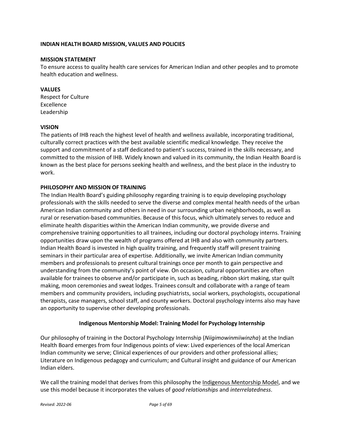# **INDIAN HEALTH BOARD MISSION, VALUES AND POLICIES**

#### **MISSION STATEMENT**

To ensure access to quality health care services for American Indian and other peoples and to promote health education and wellness.

# **VALUES**

Respect for Culture Excellence Leadership

#### **VISION**

The patients of IHB reach the highest level of health and wellness available, incorporating traditional, culturally correct practices with the best available scientific medical knowledge. They receive the support and commitment of a staff dedicated to patient's success, trained in the skills necessary, and committed to the mission of IHB. Widely known and valued in its community, the Indian Health Board is known as the best place for persons seeking health and wellness, and the best place in the industry to work.

#### **PHILOSOPHY AND MISSION OF TRAINING**

The Indian Health Board's guiding philosophy regarding training is to equip developing psychology professionals with the skills needed to serve the diverse and complex mental health needs of the urban American Indian community and others in need in our surrounding urban neighborhoods, as well as rural or reservation-based communities. Because of this focus, which ultimately serves to reduce and eliminate health disparities within the American Indian community, we provide diverse and comprehensive training opportunities to all trainees, including our doctoral psychology interns. Training opportunities draw upon the wealth of programs offered at IHB and also with community partners. Indian Health Board is invested in high quality training, and frequently staff will present training seminars in their particular area of expertise. Additionally, we invite American Indian community members and professionals to present cultural trainings once per month to gain perspective and understanding from the community's point of view. On occasion, cultural opportunities are often available for trainees to observe and/or participate in, such as beading, ribbon skirt making, star quilt making, moon ceremonies and sweat lodges. Trainees consult and collaborate with a range of team members and community providers, including psychiatrists, social workers, psychologists, occupational therapists, case managers, school staff, and county workers. Doctoral psychology interns also may have an opportunity to supervise other developing professionals.

# **Indigenous Mentorship Model: Training Model for Psychology Internship**

Our philosophy of training in the Doctoral Psychology Internship (*Niigimowinmiiwinzha*) at the Indian Health Board emerges from four Indigenous points of view: Lived experiences of the local American Indian community we serve; Clinical experiences of our providers and other professional allies; Literature on Indigenous pedagogy and curriculum; and Cultural insight and guidance of our American Indian elders.

We call the training model that derives from this philosophy the Indigenous Mentorship Model, and we use this model because it incorporates the values of *good relationships* and *interrelatedness*.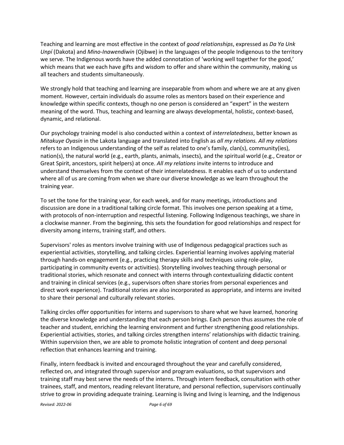Teaching and learning are most effective in the context of *good relationships*, expressed as *Da Ya Unk Unpí* (Dakota) and *Mino-Inawendiwin* (Ojibwe) in the languages of the people Indigenous to the territory we serve. The Indigenous words have the added connotation of 'working well together for the good,' which means that we each have gifts and wisdom to offer and share within the community, making us all teachers and students simultaneously.

We strongly hold that teaching and learning are inseparable from whom and where we are at any given moment. However, certain individuals do assume roles as mentors based on their experience and knowledge within specific contexts, though no one person is considered an "expert" in the western meaning of the word. Thus, teaching and learning are always developmental, holistic, context-based, dynamic, and relational.

Our psychology training model is also conducted within a context of *interrelatedness*, better known as *Mitakuye Oyasin* in the Lakota language and translated into English as *all my relations. All my relations* refers to an Indigenous understanding of the self as related to one's family, clan(s), community(ies), nation(s), the natural world (e.g., earth, plants, animals, insects), and the spiritual world (e.g., Creator or Great Spirit, ancestors, spirit helpers) at once. *All my relations* invite interns to introduce and understand themselves from the context of their interrelatedness. It enables each of us to understand where all of us are coming from when we share our diverse knowledge as we learn throughout the training year.

To set the tone for the training year, for each week, and for many meetings, introductions and discussion are done in a traditional talking circle format. This involves one person speaking at a time, with protocols of non-interruption and respectful listening. Following Indigenous teachings, we share in a clockwise manner. From the beginning, this sets the foundation for good relationships and respect for diversity among interns, training staff, and others.

Supervisors' roles as mentors involve training with use of Indigenous pedagogical practices such as experiential activities, storytelling, and talking circles. Experiential learning involves applying material through hands-on engagement (e.g., practicing therapy skills and techniques using role-play, participating in community events or activities). Storytelling involves teaching through personal or traditional stories, which resonate and connect with interns through contextualizing didactic content and training in clinical services (e.g., supervisors often share stories from personal experiences and direct work experience). Traditional stories are also incorporated as appropriate, and interns are invited to share their personal and culturally relevant stories.

Talking circles offer opportunities for interns and supervisors to share what we have learned, honoring the diverse knowledge and understanding that each person brings. Each person thus assumes the role of teacher and student, enriching the learning environment and further strengthening good relationships. Experiential activities, stories, and talking circles strengthen interns' relationships with didactic training. Within supervision then, we are able to promote holistic integration of content and deep personal reflection that enhances learning and training.

Finally, intern feedback is invited and encouraged throughout the year and carefully considered, reflected on, and integrated through supervisor and program evaluations, so that supervisors and training staff may best serve the needs of the interns. Through intern feedback, consultation with other trainees, staff, and mentors, reading relevant literature, and personal reflection, supervisors continually strive to grow in providing adequate training. Learning is living and living is learning, and the Indigenous

*Revised: 2022-06 Page 6 of 69*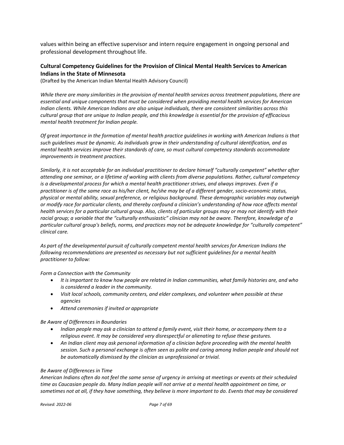values within being an effective supervisor and intern require engagement in ongoing personal and professional development throughout life.

# **Cultural Competency Guidelines for the Provision of Clinical Mental Health Services to American Indians in the State of Minnesota**

(Drafted by the American Indian Mental Health Advisory Council)

While there are many similarities in the provision of mental health services across treatment populations, there are *essential and unique components that must be considered when providing mental health services for American Indian clients. While American Indians are also unique individuals, there are consistent similarities across this cultural group that are unique to Indian people, and this knowledge is essential for the provision of efficacious mental health treatment for Indian people.*

Of great importance in the formation of mental health practice guidelines in working with American Indians is that *such guidelines must be dynamic. As individuals grow in their understanding of cultural identification, and as mental health services improve their standards of care, so must cultural competency standards accommodate improvements in treatment practices.*

*Similarly, it is not acceptable for an individual practitioner to declare himself "culturally competent" whether after attending one seminar, or a lifetime of working with clients from diverse populations. Rather, cultural competency is a developmental process for which a mental health practitioner strives, and always improves. Even if a practitioner is of the same race as his/her client, he/she may be of a different gender, socio-economic status, physical or mental ability, sexual preference, or religious background. These demographic variables may outweigh or modify race for particular clients, and thereby confound a clinician's understanding of how race affects mental health services for a particular cultural group. Also, clients of particular groups may or may not identify with their racial group; a variable that the "culturally enthusiastic" clinician may not be aware. Therefore, knowledge of a particular cultural group's beliefs, norms, and practices may not be adequate knowledge for "culturally competent" clinical care.*

*As part of the developmental pursuit of culturally competent mental health services for American Indians the following recommendations are presented as necessary but not sufficient guidelines for a mental health practitioner to follow:*

*Form a Connection with the Community*

- It is important to know how people are related in Indian communities, what family histories are, and who *is considered a leader in the community.*
- *Visit local schools, community centers, and elder complexes, and volunteer when possible at these agencies*
- *Attend ceremonies if invited or appropriate*

#### *Be Aware of Differences in Boundaries*

- Indian people may ask a clinician to attend a family event, visit their home, or accompany them to a *religious event. It may be considered very disrespectful or alienating to refuse these gestures.*
- *An Indian client may ask personal information of a clinician before proceeding with the mental health session. Such a personal exchange is often seen as polite and caring among Indian people and should not be automatically dismissed by the clinician as unprofessional or trivial.*

#### *Be Aware of Differences in Time*

*American Indians often do not feel the same sense of urgency in arriving at meetings or events at their scheduled time as Caucasian people do. Many Indian people will not arrive at a mental health appointment on time, or* sometimes not at all, if they have something, they believe is more important to do. Events that may be considered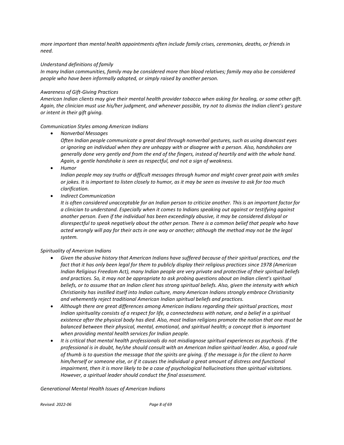*more important than mental health appointments often include family crises, ceremonies, deaths, or friends in need.*

#### *Understand definitions of family*

*In many Indian communities, family may be considered more than blood relatives; family may also be considered people who have been informally adopted, or simply raised by another person.*

#### *Awareness of Gift-Giving Practices*

*American Indian clients may give their mental health provider tobacco when asking for healing, or some other gift. Again, the clinician must use his/her judgment, and whenever possible, try not to dismiss the Indian client's gesture or intent in their gift giving.*

#### *Communication Styles among American Indians*

• *Nonverbal Messages*

*Often Indian people communicate a great deal through nonverbal gestures, such as using downcast eyes or ignoring an individual when they are unhappy with or disagree with a person. Also, handshakes are generally done very gently and from the end of the fingers, instead of heartily and with the whole hand. Again, a gentle handshake is seen as respectful, and not a sign of weakness.*

• *Humor*

*Indian people may say truths or difficult messages through humor and might cover great pain with smiles or jokes. It is important to listen closely to humor, as it may be seen as invasive to ask for too much clarification.*

• *Indirect Communication*

It is often considered unacceptable for an Indian person to criticize another. This is an important factor for *a clinician to understand. Especially when it comes to Indians speaking out against or testifying against another person. Even if the individual has been exceedingly abusive, it may be considered disloyal or disrespectful to speak negatively about the other person. There is a common belief that people who have acted wrongly will pay for their acts in one way or another; although the method may not be the legal system.*

#### *Spirituality of American Indians*

- *Given the abusive history that American Indians have suffered because of their spiritual practices, and the fact that it has only been legal for them to publicly display their religious practices since 1978 (American Indian Religious Freedom Act), many Indian people are very private and protective of their spiritual beliefs and practices. So, it may not be appropriate to ask probing questions about an Indian client's spiritual beliefs, or to assume that an Indian client has strong spiritual beliefs. Also, given the intensity with which Christianity has instilled itself into Indian culture, many American Indians strongly embrace Christianity and vehemently reject traditional American Indian spiritual beliefs and practices.*
- *Although there are great differences among American Indians regarding their spiritual practices, most Indian spirituality consists of a respect for life, a connectedness with nature, and a belief in a spiritual* existence after the physical body has died. Also, most Indian religions promote the notion that one must be *balanced between their physical, mental, emotional, and spiritual health; a concept that is important when providing mental health services for Indian people.*
- *It is critical that mental health professionals do not misdiagnose spiritual experiences as psychosis. If the* professional is in doubt, he/she should consult with an American Indian spiritual leader. Also, a good rule *of thumb is to question the message that the spirits are giving. If the message is for the client to harm him/herself or someone else, or if it causes the individual a great amount of distress and functional impairment, then it is more likely to be a case of psychological hallucinations than spiritual visitations. However, a spiritual leader should conduct the final assessment.*

*Generational Mental Health Issues of American Indians*

*Revised: 2022-06 Page 8 of 69*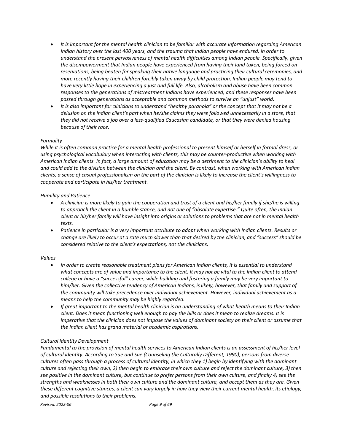- *It is important for the mental health clinician to be familiar with accurate information regarding American Indian history over the last 400 years, and the trauma that Indian people have endured, in order to understand the present pervasiveness of mental health difficulties among Indian people. Specifically, given the disempowerment that Indian people have experienced from having their land taken, being forced on reservations, being beaten for speaking their native language and practicing their cultural ceremonies, and more recently having their children forcibly taken away by child protection, Indian people may tend to have very little hope in experiencing a just and full life. Also, alcoholism and abuse have been common responses to the generations of mistreatment Indians have experienced, and these responses have been passed through generations as acceptable and common methods to survive an "unjust" world.*
- *It is also important for clinicians to understand "healthy paranoia" or the concept that it may not be a delusion on the Indian client's part when he/she claims they were followed unnecessarily in a store, that they did not receive a job over a less-qualified Caucasian candidate, or that they were denied housing because of their race.*

#### *Formality*

*While it is often common practice for a mental health professional to present himself or herself in formal dress, or using psychological vocabulary when interacting with clients, this may be counter-productive when working with American Indian clients. In fact, a large amount of education may be a detriment to the clinician's ability to heal* and could add to the division between the clinician and the client. By contrast, when working with American Indian *clients, a sense of casual professionalism on the part of the clinician is likely to increase the client's willingness to cooperate and participate in his/her treatment.*

#### *Humility and Patience*

- *A clinician is more likely to gain the cooperation and trust of a client and his/her family if she/he is willing to approach the client in a humble stance, and not one of "absolute expertise." Quite often, the Indian* client or his/her family will have insight into origins or solutions to problems that are not in mental health *texts.*
- *Patience in particular is a very important attribute to adopt when working with Indian clients. Results or* change are likely to occur at a rate much slower than that desired by the clinician, and "success" should be *considered relative to the client's expectations, not the clinicians.*

#### *Values*

- *In order to create reasonable treatment plans for American Indian clients, it is essential to understand* what concepts are of value and importance to the client. It may not be vital to the Indian client to attend *college or have a "successful" career, while building and fostering a family may be very important to him/her. Given the collective tendency of American Indians, is likely, however, that family and support of the community will take precedence over individual achievement. However, individual achievement as a means to help the community may be highly regarded.*
- *If great important to the mental health clinician is an understanding of what health means to their Indian client. Does it mean functioning well enough to pay the bills or does it mean to realize dreams. It is imperative that the clinician does not impose the values of dominant society on their client or assume that the Indian client has grand material or academic aspirations.*

#### *Cultural Identity Development*

*Fundamental to the provision of mental health services to American Indian clients is an assessment of his/her level of cultural identity. According to Sue and Sue (Counseling the Culturally Different, 1990), persons from diverse cultures often pass through a process of cultural identity, in which they 1) begin by identifying with the dominant* culture and rejecting their own, 2) then begin to embrace their own culture and reject the dominant culture, 3) then *see positive in the dominant culture, but continue to prefer persons from their own culture, and finally 4) see the strengths and weaknesses in both their own culture and the dominant culture, and accept them as they are. Given these different cognitive stances, a client can vary largely in how they view their current mental health, its etiology, and possible resolutions to their problems.*

*Revised: 2022-06 Page 9 of 69*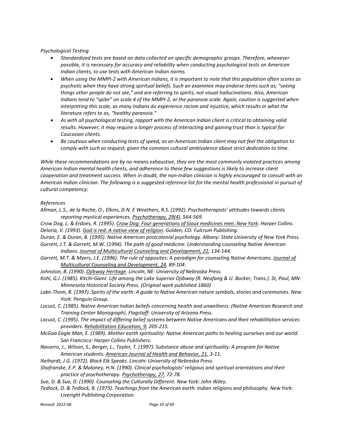*Psychological Testing*

- *Standardized tests are based on data collected on specific demographic groups. Therefore, whenever possible, it is necessary for accuracy and reliability when conducting psychological tests on American Indian clients, to use tests with American Indian norms.*
- When using the MMPI-2 with American Indians, it is important to note that this population often scores as *psychotic when they have strong spiritual beliefs. Such an examinee may endorse items such as, "seeing things other people do not see," and are referring to spirits, not visual hallucinations. Also, American* Indians tend to "spike" on scale 4 of the MMPI-2, or the paranoia scale. Again, caution is suggested when *interpreting this scale, as many Indians do experience racism and injustice, which results in what the literature refers to as, "healthy paranoia."*
- *As with all psychological testing, rapport with the American Indian client is critical to obtaining valid results. However, it may require a longer process of interacting and gaining trust than is typical for Caucasian clients.*
- *Be cautious when conducting tests of speed, as an American Indian client may not feel the obligation to comply with such as request, given the common cultural ambivalence about strict dedication to time.*

*While these recommendations are by no means exhaustive, they are the most commonly violated practices among American Indian mental health clients, and adherence to these few suggestions is likely to increase client cooperation and treatment success. When in doubt, the non-Indian clinician is highly encouraged to consult with an American Indian clinician. The following is a suggested reference list for the mental health professional in pursuit of cultural competency:*

#### *References*

*Allman, L.S., de la Roche, O., Elkins, D.N. E Weathers, R.S. (1992). Psychotherapists' attitudes towards clients reporting mystical experiences. Psychotherapy, 29(4), 564-569.*

Crow Dog, L. & Erdoes, R. (1995). Crow Dog: Four generations of Sioux medicines men. New York: Harper Collins. *Deloria, V. (1993). God is red: A native view of religion. Golden, CO: Fulcrum Publishing.*

Duran, E. & Duran, B. (1995). Native American postcolonial psychology. Albany: State University of New York Press.

- *Garrett, J.T. & Garrett, M.W. (1994). The path of good medicine. Understanding counseling Native American Indians. Journal of Multicultural Counseling and Development, 22, 134-144.*
- *Garrett, M.T. & Myers, J.E. (1996). The rule of opposites: A paradigm for counseling Native Americans. Journal of Multicultural Counseling and Development, 24, 89-104.*
- *Johnston, B. (1990). Ojibway Heritage. Lincoln, NE: University of Nebraska Press.*
- Kohl, G.J. (1985). Kitchi-Gami: Life among the Lake Superior Ojibway (R. Neufang & U. Bocker, Trans.). St, Paul, MN: *Minnesota Historical Society Press. (Original work published 1860)*
- Lake-Thom, B. (1997). Spirits of the earth: A guide to Native American nature symbols, stories and ceremonies. New *York: Penguin Group.*
- *Locust, C. (1985). Native American Indian beliefs concerning health and unwellness. (Native American Research and Training Center Monograph). Flagstaff: University of Arizona Press.*
- Locust, C. (1995). The impact of differing belief systems between Native Americans and their rehabilitation services *providers. Rehabilitation Education, 9, 205-215.*
- *McGaa Eagle Man, E. (1989). Mother earth spirituality: Native American paths to healing ourselves and our world. San Francisco: Harper Collins Publishers.*
- Navarro, J., Wilson, S., Berger, L., Taylor, T. (1997). Substance abuse and spirituality: A program for Native *American students. American Journal of Health and Behavior, 21, 3-11.*
- *Neihardt, J.G. (1972). Black Elk Speaks. Lincoln: University of Nebraska Press.*
- *Shafranske, E.P. & Maloney, H.N. (1990). Clinical psychologists' religious and spiritual orientations and their practice of psychotherapy. Psychotherapy, 27, 72-78.*
- *Sue, D. & Sue, D. (1990). Counseling the Culturally Different. New York: John Wiley.*
- Tedlock, D. & Tedlock, B. (1975). Teachings from the American earth: Indian religions and philosophy. New York: *Liveright Publishing Corporation.*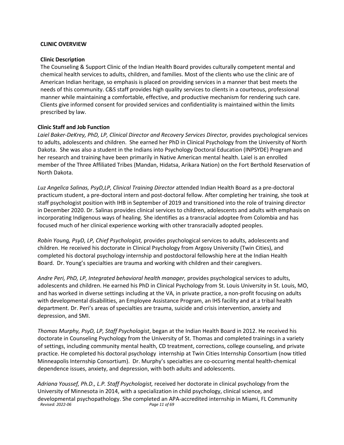#### <span id="page-10-0"></span>**CLINIC OVERVIEW**

#### **Clinic Description**

The Counseling & Support Clinic of the Indian Health Board provides culturally competent mental and chemical health services to adults, children, and families. Most of the clients who use the clinic are of American Indian heritage, so emphasis is placed on providing services in a manner that best meets the needs of this community. C&S staff provides high quality services to clients in a courteous, professional manner while maintaining a comfortable, effective, and productive mechanism for rendering such care. Clients give informed consent for provided services and confidentiality is maintained within the limits prescribed by law.

#### **Clinic Staff and Job Function**

*Laiel Baker-DeKrey, PhD, LP, Clinical Director and Recovery Services Director,* provides psychological services to adults, adolescents and children. She earned her PhD in Clinical Psychology from the University of North Dakota. She was also a student in the Indians into Psychology Doctoral Education (INPSYDE) Program and her research and training have been primarily in Native American mental health. Laiel is an enrolled member of the Three Affiliated Tribes (Mandan, Hidatsa, Arikara Nation) on the Fort Berthold Reservation of North Dakota.

*Luz Angelica Salinas, PsyD,LP, Clinical Training Director* attended Indian Health Board as a pre-doctoral practicum student, a pre-doctoral intern and post-doctoral fellow. After completing her training, she took at staff psychologist position with IHB in September of 2019 and transitioned into the role of training director in December 2020. Dr. Salinas provides clinical services to children, adolescents and adults with emphasis on incorporating Indigenous ways of healing. She identifies as a transracial adoptee from Colombia and has focused much of her clinical experience working with other transracially adopted peoples.

*Robin Young, PsyD, LP, Chief Psychologist,* provides psychological services to adults, adolescents and children. He received his doctorate in Clinical Psychology from Argosy University (Twin Cities), and completed his doctoral psychology internship and postdoctoral fellowship here at the Indian Health Board. Dr. Young's specialties are trauma and working with children and their caregivers.

*Andre Peri, PhD, LP, Integrated behavioral health manager,* provides psychological services to adults, adolescents and children. He earned his PhD in Clinical Psychology from St. Louis University in St. Louis, MO, and has worked in diverse settings including at the VA, in private practice, a non-profit focusing on adults with developmental disabilities, an Employee Assistance Program, an IHS facility and at a tribal health department. Dr. Peri's areas of specialties are trauma, suicide and crisis intervention, anxiety and depression, and SMI.

*Thomas Murphy, PsyD, LP, Staff Psychologist*, began at the Indian Health Board in 2012. He received his doctorate in Counseling Psychology from the University of St. Thomas and completed trainings in a variety of settings, including community mental health, CD treatment, corrections, college counseling, and private practice. He completed his doctoral psychology internship at Twin Cities Internship Consortium (now titled Minneapolis Internship Consortium). Dr. Murphy's specialties are co-occurring mental health-chemical dependence issues, anxiety, and depression, with both adults and adolescents.

*Revised: 2022-06 Page 11 of 69 Adriana Youssef, Ph.D., L.P. Staff Psychologist,* received her doctorate in clinical psychology from the University of Minnesota in 2014, with a specialization in child psychology, clinical science, and developmental psychopathology. She completed an APA-accredited internship in Miami, FL Community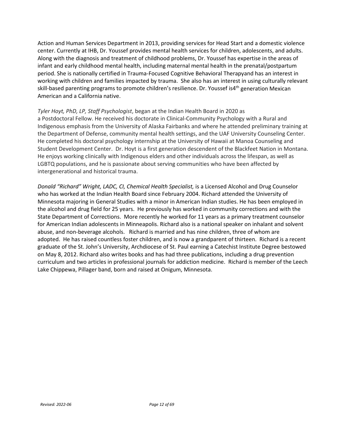Action and Human Services Department in 2013, providing services for Head Start and a domestic violence center. Currently at IHB, Dr. Youssef provides mental health services for children, adolescents, and adults. Along with the diagnosis and treatment of childhood problems, Dr. Youssef has expertise in the areas of infant and early childhood mental health, including maternal mental health in the prenatal/postpartum period. She is nationally certified in Trauma-Focused Cognitive Behavioral Therapyand has an interest in working with children and families impacted by trauma. She also has an interest in using culturally relevant skill-based parenting programs to promote children's resilience. Dr. Youssef is4<sup>th</sup> generation Mexican American and a California native.

# *Tyler Hoyt, PhD, LP, Staff Psychologist*, began at the Indian Health Board in 2020 as

a Postdoctoral Fellow. He received his doctorate in Clinical-Community Psychology with a Rural and Indigenous emphasis from the University of Alaska Fairbanks and where he attended preliminary training at the Department of Defense, community mental health settings, and the UAF University Counseling Center. He completed his doctoral psychology internship at the University of Hawaii at Manoa Counseling and Student Development Center. Dr. Hoyt is a first generation descendent of the Blackfeet Nation in Montana. He enjoys working clinically with Indigenous elders and other individuals across the lifespan, as well as LGBTQ populations, and he is passionate about serving communities who have been affected by intergenerational and historical trauma.

*Donald "Richard" Wright, LADC, CI, Chemical Health Specialist,* is a Licensed Alcohol and Drug Counselor who has worked at the Indian Health Board since February 2004. Richard attended the University of Minnesota majoring in General Studies with a minor in American Indian studies. He has been employed in the alcohol and drug field for 25 years. He previously has worked in community corrections and with the State Department of Corrections. More recently he worked for 11 years as a primary treatment counselor for American Indian adolescents in Minneapolis. Richard also is a national speaker on inhalant and solvent abuse, and non-beverage alcohols. Richard is married and has nine children, three of whom are adopted. He has raised countless foster children, and is now a grandparent of thirteen. Richard is a recent graduate of the St. John's University, Archdiocese of St. Paul earning a Catechist Institute Degree bestowed on May 8, 2012. Richard also writes books and has had three publications, including a drug prevention curriculum and two articles in professional journals for addiction medicine. Richard is member of the Leech Lake Chippewa, Pillager band, born and raised at Onigum, Minnesota.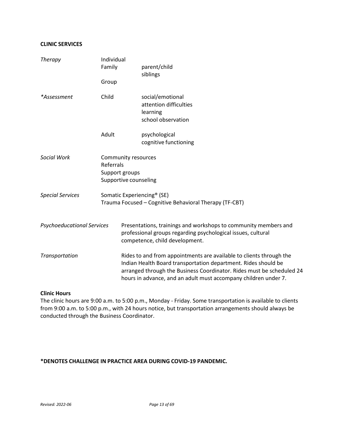# **CLINIC SERVICES**

| <b>Therapy</b>                    | Individual<br>Family                                                        | parent/child<br>siblings                                                                                                                                                                                                                                                          |  |  |
|-----------------------------------|-----------------------------------------------------------------------------|-----------------------------------------------------------------------------------------------------------------------------------------------------------------------------------------------------------------------------------------------------------------------------------|--|--|
|                                   | Group                                                                       |                                                                                                                                                                                                                                                                                   |  |  |
| *Assessment                       | Child                                                                       | social/emotional<br>attention difficulties<br>learning<br>school observation                                                                                                                                                                                                      |  |  |
|                                   | Adult                                                                       | psychological<br>cognitive functioning                                                                                                                                                                                                                                            |  |  |
| Social Work                       | Community resources<br>Referrals<br>Support groups<br>Supportive counseling |                                                                                                                                                                                                                                                                                   |  |  |
| <b>Special Services</b>           |                                                                             | Somatic Experiencing <sup>®</sup> (SE)<br>Trauma Focused - Cognitive Behavioral Therapy (TF-CBT)                                                                                                                                                                                  |  |  |
| <b>Psychoeducational Services</b> |                                                                             | Presentations, trainings and workshops to community members and<br>professional groups regarding psychological issues, cultural<br>competence, child development.                                                                                                                 |  |  |
| Transportation                    |                                                                             | Rides to and from appointments are available to clients through the<br>Indian Health Board transportation department. Rides should be<br>arranged through the Business Coordinator. Rides must be scheduled 24<br>hours in advance, and an adult must accompany children under 7. |  |  |

#### **Clinic Hours**

The clinic hours are 9:00 a.m. to 5:00 p.m., Monday - Friday. Some transportation is available to clients from 9:00 a.m. to 5:00 p.m., with 24 hours notice, but transportation arrangements should always be conducted through the Business Coordinator.

# **\*DENOTES CHALLENGE IN PRACTICE AREA DURING COVID-19 PANDEMIC.**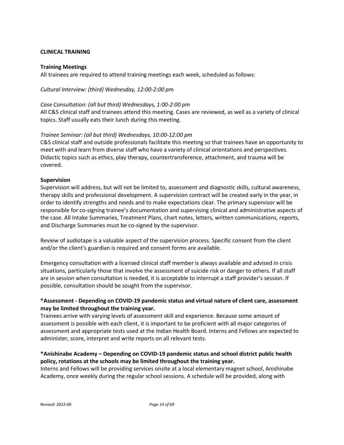# <span id="page-13-0"></span>**CLINICAL TRAINING**

#### **Training Meetings**

All trainees are required to attend training meetings each week, scheduled as follows:

*Cultural Interview: (third) Wednesday, 12:00-2:00 p*m

#### *Case Consultation: (all but third) Wednesdays, 1:00-2:00 pm*

All C&S clinical staff and trainees attend this meeting. Cases are reviewed, as well as a variety of clinical topics. Staff usually eats their lunch during this meeting.

#### *Trainee Seminar: (all but third) Wednesdays, 10:00-12:00 pm*

C&S clinical staff and outside professionals facilitate this meeting so that trainees have an opportunity to meet with and learn from diverse staff who have a variety of clinical orientations and perspectives. Didactic topics such as ethics, play therapy, countertransference, attachment, and trauma will be covered.

#### **Supervision**

Supervision will address, but will not be limited to, assessment and diagnostic skills, cultural awareness, therapy skills and professional development. A supervision contract will be created early in the year, in order to identify strengths and needs and to make expectations clear. The primary supervisor will be responsible for co-signing trainee's documentation and supervising clinical and administrative aspects of the case. All Intake Summaries, Treatment Plans, chart notes, letters, written communications, reports, and Discharge Summaries must be co-signed by the supervisor.

Review of audiotape is a valuable aspect of the supervision process. Specific consent from the client and/or the client's guardian is required and consent forms are available.

Emergency consultation with a licensed clinical staff member is always available and advised in crisis situations, particularly those that involve the assessment of suicide risk or danger to others. If all staff are in session when consultation is needed, it is acceptable to interrupt a staff provider's session. If possible, consultation should be sought from the supervisor.

# **\*Assessment - Depending on COVID-19 pandemic status and virtual nature of client care, assessment may be limited throughout the training year.**

Trainees arrive with varying levels of assessment skill and experience. Because some amount of assessment is possible with each client, it is important to be proficient with all major categories of assessment and appropriate tests used at the Indian Health Board. Interns and Fellows are expected to administer, score, interpret and write reports on all relevant tests.

# **\*Anishinabe Academy – Depending on COVID-19 pandemic status and school district public health policy, rotations at the schools may be limited throughout the training year.**

Interns and Fellows will be providing services onsite at a local elementary magnet school, Anishinabe Academy, once weekly during the regular school sessions. A schedule will be provided, along with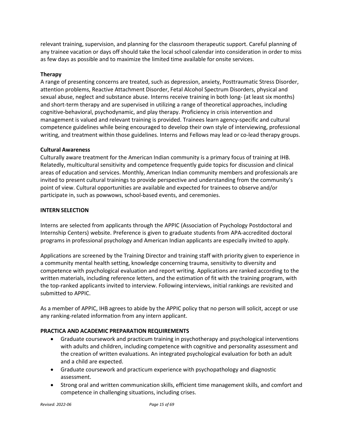relevant training, supervision, and planning for the classroom therapeutic support. Careful planning of any trainee vacation or days off should take the local school calendar into consideration in order to miss as few days as possible and to maximize the limited time available for onsite services.

# **Therapy**

A range of presenting concerns are treated, such as depression, anxiety, Posttraumatic Stress Disorder, attention problems, Reactive Attachment Disorder, Fetal Alcohol Spectrum Disorders, physical and sexual abuse, neglect and substance abuse. Interns receive training in both long- (at least six months) and short-term therapy and are supervised in utilizing a range of theoretical approaches, including cognitive-behavioral, psychodynamic, and play therapy. Proficiency in crisis intervention and management is valued and relevant training is provided. Trainees learn agency-specific and cultural competence guidelines while being encouraged to develop their own style of interviewing, professional writing, and treatment within those guidelines. Interns and Fellows may lead or co-lead therapy groups.

# **Cultural Awareness**

Culturally aware treatment for the American Indian community is a primary focus of training at IHB. Relatedly, multicultural sensitivity and competence frequently guide topics for discussion and clinical areas of education and services. Monthly, American Indian community members and professionals are invited to present cultural trainings to provide perspective and understanding from the community's point of view. Cultural opportunities are available and expected for trainees to observe and/or participate in, such as powwows, school-based events, and ceremonies.

#### **INTERN SELECTION**

Interns are selected from applicants through the APPIC (Association of Psychology Postdoctoral and Internship Centers) website. Preference is given to graduate students from APA-accredited doctoral programs in professional psychology and American Indian applicants are especially invited to apply.

Applications are screened by the Training Director and training staff with priority given to experience in a community mental health setting, knowledge concerning trauma, sensitivity to diversity and competence with psychological evaluation and report writing. Applications are ranked according to the written materials, including reference letters, and the estimation of fit with the training program, with the top-ranked applicants invited to interview. Following interviews, initial rankings are revisited and submitted to APPIC.

As a member of APPIC, IHB agrees to abide by the APPIC policy that no person will solicit, accept or use any ranking-related information from any intern applicant.

# **PRACTICA AND ACADEMIC PREPARATION REQUIREMENTS**

- Graduate coursework and practicum training in psychotherapy and psychological interventions with adults and children, including competence with cognitive and personality assessment and the creation of written evaluations. An integrated psychological evaluation for both an adult and a child are expected.
- Graduate coursework and practicum experience with psychopathology and diagnostic assessment.
- Strong oral and written communication skills, efficient time management skills, and comfort and competence in challenging situations, including crises.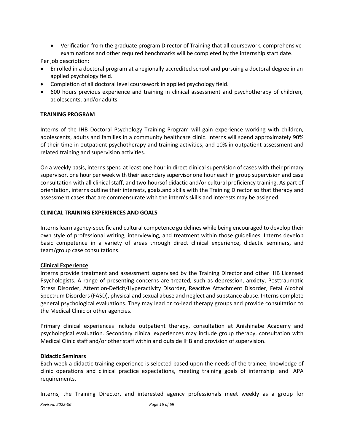• Verification from the graduate program Director of Training that all coursework, comprehensive examinations and other required benchmarks will be completed by the internship start date.

Per job description:

- Enrolled in a doctoral program at a regionally accredited school and pursuing a doctoral degree in an applied psychology field.
- Completion of all doctoral level coursework in applied psychology field.
- 600 hours previous experience and training in clinical assessment and psychotherapy of children, adolescents, and/or adults.

#### **TRAINING PROGRAM**

Interns of the IHB Doctoral Psychology Training Program will gain experience working with children, adolescents, adults and families in a community healthcare clinic. Interns will spend approximately 90% of their time in outpatient psychotherapy and training activities, and 10% in outpatient assessment and related training and supervision activities.

On a weekly basis, interns spend at least one hour in direct clinical supervision of cases with their primary supervisor, one hour per week with their secondary supervisor one hour each in group supervision and case consultation with all clinical staff, and two hoursof didactic and/or cultural proficiency training. As part of orientation, interns outline their interests, goals,and skills with the Training Director so that therapy and assessment cases that are commensurate with the intern's skills and interests may be assigned.

#### **CLINICAL TRAINING EXPERIENCES AND GOALS**

Interns learn agency-specific and cultural competence guidelines while being encouraged to develop their own style of professional writing, interviewing, and treatment within those guidelines. Interns develop basic competence in a variety of areas through direct clinical experience, didactic seminars, and team/group case consultations.

#### **Clinical Experience**

Interns provide treatment and assessment supervised by the Training Director and other IHB Licensed Psychologists. A range of presenting concerns are treated, such as depression, anxiety, Posttraumatic Stress Disorder, Attention-Deficit/Hyperactivity Disorder, Reactive Attachment Disorder, Fetal Alcohol Spectrum Disorders(FASD), physical and sexual abuse and neglect and substance abuse. Interns complete general psychological evaluations. They may lead or co-lead therapy groups and provide consultation to the Medical Clinic or other agencies.

Primary clinical experiences include outpatient therapy, consultation at Anishinabe Academy and psychological evaluation. Secondary clinical experiences may include group therapy, consultation with Medical Clinic staff and/or other staff within and outside IHB and provision of supervision.

#### **Didactic Seminars**

Each week a didactic training experience is selected based upon the needs of the trainee, knowledge of clinic operations and clinical practice expectations, meeting training goals of internship and APA requirements.

Interns, the Training Director, and interested agency professionals meet weekly as a group for

*Revised: 2022-06 Page 16 of 69*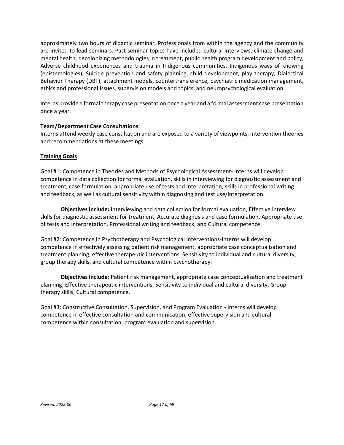approximately two hours of didactic seminar. Professionals from within the agency and the community are invited to lead seminars. Past seminar topics have included cultural interviews, climate change and mental health, decolonizing methodologies in treatment, public health program development and policy, Adverse childhood experiences and trauma in Indigenous communities, Indigenous ways of knowing (epistemologies), Suicide prevention and safety planning, child development, play therapy, Dialectical Behavior Therapy (DBT), attachment models, countertransference, psychiatric medication management, ethics and professional issues, supervision models and topics, and neuropsychological evaluation.

Interns provide a formal therapy case presentation once a year and a formal assessment case presentation once a year.

# **Team/Department Case Consultations**

Interns attend weekly case consultation and are exposed to a variety of viewpoints, intervention theories and recommendations at these meetings.

# **Training Goals**

Goal #1: Competence in Theories and Methods of Psychological Assessment- Interns will develop competence in data collection for formal evaluation, skills in interviewing for diagnostic assessment and treatment, case formulation, appropriate use of tests and interpretation, skills in professional writing and feedback, as well as cultural sensitivity within diagnosing and test use/interpretation.

**Objectives include:** Interviewing and data collection for formal evaluation, Effective interview skills for diagnostic assessment for treatment, Accurate diagnosis and case formulation, Appropriate use of tests and interpretation, Professional writing and feedback, and Cultural competence.

Goal #2: Competence in Psychotherapy and Psychological Interventions-Interns will develop competence in effectively assessing patient risk management, appropriate case conceptualization and treatment planning, effective therapeutic interventions, Sensitivity to individual and cultural diversity, group therapy skills, and cultural competence within psychotherapy.

**Objectives include:** Patient risk management, appropriate case conceptualization and treatment planning, Effective therapeutic interventions, Sensitivity to individual and cultural diversity, Group therapy skills, Cultural competence.

Goal #3: Constructive Consultation, Supervision, and Program Evaluation - Interns will develop competence in effective consultation and communication, effective supervision and cultural competence within consultation, program evaluation and supervision.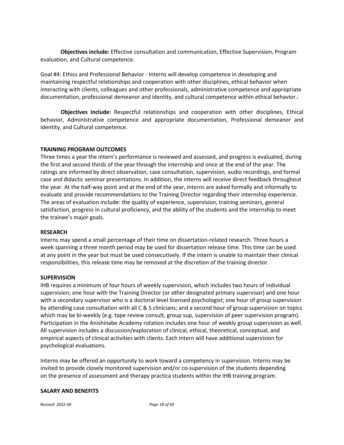**Objectives include:** Effective consultation and communication, Effective Supervision, Program evaluation, and Cultural competence.

Goal #4: Ethics and Professional Behavior - Interns will develop competence in developing and maintaining respectful relationships and cooperation with other disciplines, ethical behavior when interacting with clients, colleagues and other professionals, administrative competence and appropriate documentation, professional demeanor and identity, and cultural competence within ethical behavior.:

**Objectives include:** Respectful relationships and cooperation with other disciplines, Ethical behavior, Administrative competence and appropriate documentation, Professional demeanor and identity, and Cultural competence.

# **TRAINING PROGRAM OUTCOMES**

Three times a year the intern's performance is reviewed and assessed, and progress is evaluated, during the first and second thirds of the year through the internship and once at the end of the year. The ratings are informed by direct observation, case consultation, supervision, audio recordings, and formal case and didactic seminar presentations. In addition, the interns will receive direct feedback throughout the year. At the half-way point and at the end of the year, interns are asked formally and informally to evaluate and provide recommendations to the Training Director regarding their internship experience. The areas of evaluation include: the quality of experience, supervision, training seminars, general satisfaction, progress in cultural proficiency, and the ability of the students and the internship to meet the trainee's major goals.

#### **RESEARCH**

Interns may spend a small percentage of their time on dissertation-related research. Three hours a week spanning a three month period may be used for dissertation release time. This time can be used at any point in the year but must be used consecutively. If the intern is unable to maintain their clinical responsibilities, this release time may be removed at the discretion of the training director.

#### **SUPERVISION**

IHB requires a minimum of four hours of weekly supervision, which includes two hours of individual supervision; one hour with the Training Director (or other designated primary supervisor) and one hour with a secondary supervisor who is a doctoral level licensed psychologist; one hour of group supervision by attending case consultation with all C & S clinicians; and a second hour of group supervision on topics which may be bi-weekly (e.g. tape review consult, group sup, supervision of peer supervision program). Participation in the Anishinabe Academy rotation includes one hour of weekly group supervision as well. All supervision includes a discussion/exploration of clinical, ethical, theoretical, conceptual, and empirical aspects of clinical activities with clients. Each intern will have additional supervision for psychological evaluations.

Interns may be offered an opportunity to work toward a competency in supervision. Interns may be invited to provide closely monitored supervision and/or co-supervision of the students depending on the presence of assessment and therapy practica students within the IHB training program.

#### **SALARY AND BENEFITS**

*Revised: 2022-06 Page 18 of 69*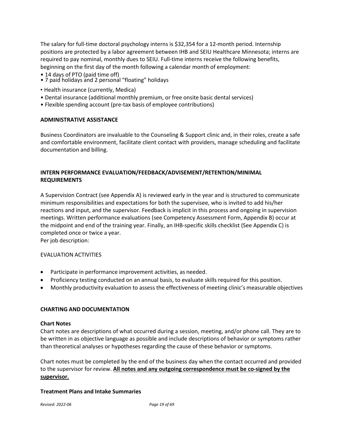The salary for full-time doctoral psychology interns is \$32,354 for a 12-month period. Internship positions are protected by a labor agreement between IHB and SEIU Healthcare Minnesota; interns are required to pay nominal, monthly dues to SEIU. Full-time interns receive the following benefits, beginning on the first day of the month following a calendar month of employment:

- 
- 14 days of PTO (paid time off)<br>• 7 paid holidays and 2 personal "floating" holidays
- Health insurance (currently, Medica)
- Dental insurance (additional monthly premium, or free onsite basic dental services)
- Flexible spending account (pre-tax basis of employee contributions)

# **ADMINISTRATIVE ASSISTANCE**

Business Coordinators are invaluable to the Counseling & Support clinic and, in their roles, create a safe and comfortable environment, facilitate client contact with providers, manage scheduling and facilitate documentation and billing.

# **INTERN PERFORMANCE EVALUATION/FEEDBACK/ADVISEMENT/RETENTION/MINIMAL REQUIREMENTS**

A Supervision Contract (see Appendix A) is reviewed early in the year and is structured to communicate minimum responsibilities and expectations for both the supervisee, who is invited to add his/her reactions and input, and the supervisor. Feedback is implicit in this process and ongoing in supervision meetings. Written performance evaluations (see Competency Assessment Form, Appendix B) occur at the midpoint and end of the training year. Finally, an IHB-specific skills checklist (See Appendix C) is completed once or twice a year.

Per job description:

# EVALUATION ACTIVITIES

- Participate in performance improvement activities, as needed.
- Proficiency testing conducted on an annual basis, to evaluate skills required for this position.
- Monthly productivity evaluation to assess the effectiveness of meeting clinic's measurable objectives

# <span id="page-18-0"></span>**CHARTING AND DOCUMENTATION**

#### **Chart Notes**

Chart notes are descriptions of what occurred during a session, meeting, and/or phone call. They are to be written in as objective language as possible and include descriptions of behavior or symptoms rather than theoretical analyses or hypotheses regarding the cause of these behavior or symptoms.

Chart notes must be completed by the end of the business day when the contact occurred and provided to the supervisor for review. **All notes and any outgoing correspondence must be co-signed by the supervisor.**

#### **Treatment Plans and Intake Summaries**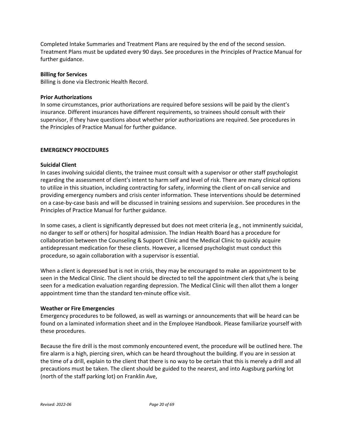Completed Intake Summaries and Treatment Plans are required by the end of the second session. Treatment Plans must be updated every 90 days. See procedures in the Principles of Practice Manual for further guidance.

#### **Billing for Services**

Billing is done via Electronic Health Record.

# **Prior Authorizations**

In some circumstances, prior authorizations are required before sessions will be paid by the client's insurance. Different insurances have different requirements, so trainees should consult with their supervisor, if they have questions about whether prior authorizations are required. See procedures in the Principles of Practice Manual for further guidance.

# **EMERGENCY PROCEDURES**

#### **Suicidal Client**

In cases involving suicidal clients, the trainee must consult with a supervisor or other staff psychologist regarding the assessment of client's intent to harm self and level of risk. There are many clinical options to utilize in this situation, including contracting for safety, informing the client of on-call service and providing emergency numbers and crisis center information. These interventions should be determined on a case-by-case basis and will be discussed in training sessions and supervision. See procedures in the Principles of Practice Manual for further guidance.

In some cases, a client is significantly depressed but does not meet criteria (e.g., not imminently suicidal, no danger to self or others) for hospital admission. The Indian Health Board has a procedure for collaboration between the Counseling & Support Clinic and the Medical Clinic to quickly acquire antidepressant medication for these clients. However, a licensed psychologist must conduct this procedure, so again collaboration with a supervisor is essential.

When a client is depressed but is not in crisis, they may be encouraged to make an appointment to be seen in the Medical Clinic. The client should be directed to tell the appointment clerk that s/he is being seen for a medication evaluation regarding depression. The Medical Clinic will then allot them a longer appointment time than the standard ten-minute office visit.

#### **Weather or Fire Emergencies**

Emergency procedures to be followed, as well as warnings or announcements that will be heard can be found on a laminated information sheet and in the Employee Handbook. Please familiarize yourself with these procedures.

Because the fire drill is the most commonly encountered event, the procedure will be outlined here. The fire alarm is a high, piercing siren, which can be heard throughout the building. If you are in session at the time of a drill, explain to the client that there is no way to be certain that this is merely a drill and all precautions must be taken. The client should be guided to the nearest, and into Augsburg parking lot (north of the staff parking lot) on Franklin Ave,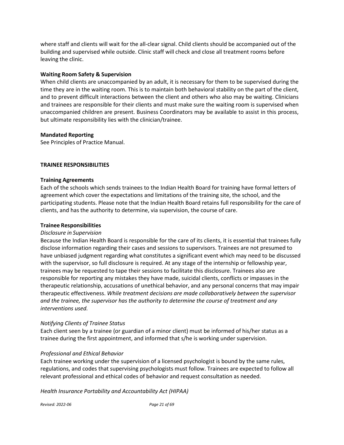where staff and clients will wait for the all-clear signal. Child clients should be accompanied out of the building and supervised while outside. Clinic staff will check and close all treatment rooms before leaving the clinic.

#### **Waiting Room Safety & Supervision**

When child clients are unaccompanied by an adult, it is necessary for them to be supervised during the time they are in the waiting room. This is to maintain both behavioral stability on the part of the client, and to prevent difficult interactions between the client and others who also may be waiting. Clinicians and trainees are responsible for their clients and must make sure the waiting room is supervised when unaccompanied children are present. Business Coordinators may be available to assist in this process, but ultimate responsibility lies with the clinician/trainee.

# **Mandated Reporting**

See Principles of Practice Manual.

#### <span id="page-20-0"></span>**TRAINEE RESPONSIBILITIES**

#### **Training Agreements**

Each of the schools which sends trainees to the Indian Health Board for training have formal letters of agreement which cover the expectations and limitations of the training site, the school, and the participating students. Please note that the Indian Health Board retains full responsibility for the care of clients, and has the authority to determine, via supervision, the course of care.

#### **Trainee Responsibilities**

#### *Disclosure in Supervision*

Because the Indian Health Board is responsible for the care of its clients, it is essential that trainees fully disclose information regarding their cases and sessions to supervisors. Trainees are not presumed to have unbiased judgment regarding what constitutes a significant event which may need to be discussed with the supervisor, so full disclosure is required. At any stage of the internship or fellowship year, trainees may be requested to tape their sessions to facilitate this disclosure. Trainees also are responsible for reporting any mistakes they have made, suicidal clients, conflicts or impasses in the therapeutic relationship, accusations of unethical behavior, and any personal concerns that may impair therapeutic effectiveness. *While treatment decisions are made collaboratively between the supervisor and the trainee, the supervisor has the authority to determine the course of treatment and any interventions used.*

#### *Notifying Clients of Trainee Status*

Each client seen by a trainee (or guardian of a minor client) must be informed of his/her status as a trainee during the first appointment, and informed that s/he is working under supervision.

# *Professional and Ethical Behavior*

Each trainee working under the supervision of a licensed psychologist is bound by the same rules, regulations, and codes that supervising psychologists must follow. Trainees are expected to follow all relevant professional and ethical codes of behavior and request consultation as needed.

*Health Insurance Portability and Accountability Act (HIPAA)*

*Revised: 2022-06 Page 21 of 69*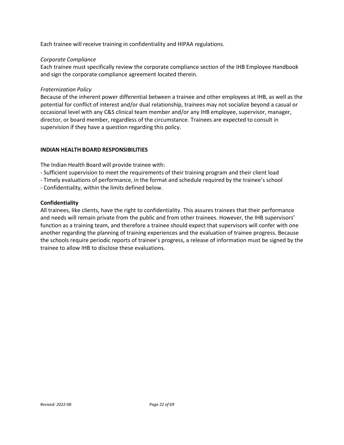Each trainee will receive training in confidentiality and HIPAA regulations.

# *Corporate Compliance*

Each trainee must specifically review the corporate compliance section of the IHB Employee Handbook and sign the corporate compliance agreement located therein.

# *Fraternization Policy*

Because of the inherent power differential between a trainee and other employees at IHB, as well as the potential for conflict of interest and/or dual relationship, trainees may not socialize beyond a casual or occasional level with any C&S clinical team member and/or any IHB employee, supervisor, manager, director, or board member, regardless of the circumstance. Trainees are expected to consult in supervision if they have a question regarding this policy.

# <span id="page-21-0"></span>**INDIAN HEALTH BOARD RESPONSIBILITIES**

The Indian Health Board will provide trainee with:

- Sufficient supervision to meet the requirements of their training program and their client load
- Timely evaluations of performance, in the format and schedule required by the trainee's school
- Confidentiality, within the limits defined below.

# **Confidentiality**

All trainees, like clients, have the right to confidentiality. This assures trainees that their performance and needs will remain private from the public and from other trainees. However, the IHB supervisors' function as a training team, and therefore a trainee should expect that supervisors will confer with one another regarding the planning of training experiences and the evaluation of trainee progress. Because the schools require periodic reports of trainee's progress, a release of information must be signed by the trainee to allow IHB to disclose these evaluations.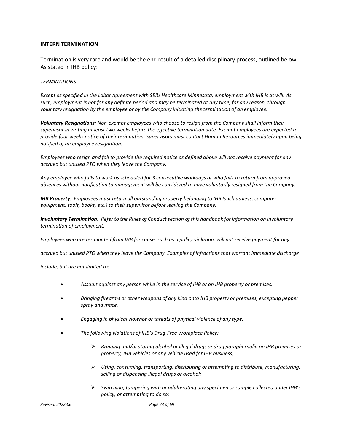#### **INTERN TERMINATION**

Termination is very rare and would be the end result of a detailed disciplinary process, outlined below. As stated in IHB policy:

#### *TERMINATIONS*

Except as specified in the Labor Agreement with SEIU Healthcare Minnesota, employment with IHB is at will. As *such, employment is not for any definite period and may be terminated at any time, for any reason, through voluntary resignation by the employee or by the Company initiating the termination of an employee.*

*Voluntary Resignations: Non-exempt employees who choose to resign from the Company shall inform their supervisor in writing at least two weeks before the effective termination date. Exempt employees are expected to provide four weeks notice of their resignation. Supervisors must contact Human Resources immediately upon being notified of an employee resignation.*

Employees who resign and fail to provide the required notice as defined above will not receive payment for any *accrued but unused PTO when they leave the Company.*

*Any employee who fails to work as scheduled for 3 consecutive workdays or who fails to return from approved absences without notification to management will be considered to have voluntarily resigned from the Company.*

*IHB Property: Employees must return all outstanding property belonging to IHB (such as keys, computer equipment, tools, books, etc.) to their supervisor before leaving the Company.*

Involuntary Termination: Refer to the Rules of Conduct section of this handbook for information on involuntary *termination of employment.*

*Employees who are terminated from IHB for cause, such as a policy violation, will not receive payment for any*

*accrued but unused PTO when they leave the Company. Examples of infractions that warrant immediate discharge*

*include, but are not limited to:*

- *Assault against any person while in the service of IHB or on IHB property or premises.*
- *Bringing firearms or other weapons of any kind onto IHB property or premises, excepting pepper spray and mace.*
- *Engaging in physical violence or threats of physical violence of any type.*
- *The following violations of IHB's Drug-Free Workplace Policy:*
	- *Bringing and/or storing alcohol or illegal drugs or drug paraphernalia on IHB premises or property, IHB vehicles or any vehicle used for IHB business;*
	- *Using, consuming, transporting, distributing or attempting to distribute, manufacturing, selling or dispensing illegal drugs or alcohol;*
	- *Switching, tampering with or adulterating any specimen orsample collected under IHB's policy, or attempting to do so;*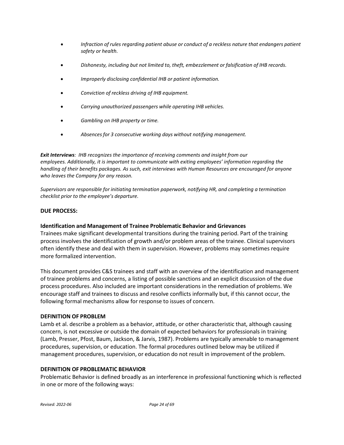- *Infraction of rules regarding patient abuse or conduct of a reckless nature that endangers patient safety or health.*
- *Dishonesty, including but not limited to, theft, embezzlement or falsification of IHB records.*
- *Improperly disclosing confidential IHB or patient information.*
- *Conviction of reckless driving of IHB equipment.*
- *Carrying unauthorized passengers while operating IHB vehicles.*
- *Gambling on IHB property or time.*
- *Absences for 3 consecutive working days without notifying management.*

*Exit Interviews: IHB recognizes the importance of receiving comments and insight from our employees. Additionally, it is important to communicate with exiting employees' information regarding the handling of their benefits packages. As such, exit interviews with Human Resources are encouraged for anyone who leaves the Company for any reason.*

*Supervisors are responsible for initiating termination paperwork, notifying HR, and completing a termination checklist prior to the employee's departure.*

# **DUE PROCESS:**

# **Identification and Management of Trainee Problematic Behavior and Grievances**

Trainees make significant developmental transitions during the training period. Part of the training process involves the identification of growth and/or problem areas of the trainee. Clinical supervisors often identify these and deal with them in supervision. However, problems may sometimes require more formalized intervention.

This document provides C&S trainees and staff with an overview of the identification and management of trainee problems and concerns, a listing of possible sanctions and an explicit discussion of the due process procedures. Also included are important considerations in the remediation of problems. We encourage staff and trainees to discuss and resolve conflicts informally but, if this cannot occur, the following formal mechanisms allow for response to issues of concern.

# **DEFINITION OF PROBLEM**

Lamb et al. describe a problem as a behavior, attitude, or other characteristic that, although causing concern, is not excessive or outside the domain of expected behaviors for professionals in training (Lamb, Presser, Pfost, Baum, Jackson, & Jarvis, 1987). Problems are typically amenable to management procedures, supervision, or education. The formal procedures outlined below may be utilized if management procedures, supervision, or education do not result in improvement of the problem.

# **DEFINITION OF PROBLEMATIC BEHAVIOR**

Problematic Behavior is defined broadly as an interference in professional functioning which is reflected in one or more of the following ways: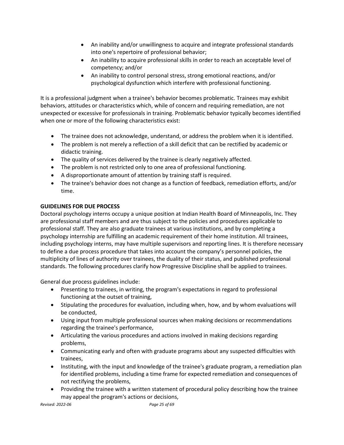- An inability and/or unwillingness to acquire and integrate professional standards into one's repertoire of professional behavior;
- An inability to acquire professional skills in order to reach an acceptable level of competency; and/or
- An inability to control personal stress, strong emotional reactions, and/or psychological dysfunction which interfere with professional functioning.

It is a professional judgment when a trainee's behavior becomes problematic. Trainees may exhibit behaviors, attitudes or characteristics which, while of concern and requiring remediation, are not unexpected or excessive for professionals in training. Problematic behavior typically becomes identified when one or more of the following characteristics exist:

- The trainee does not acknowledge, understand, or address the problem when it is identified.
- The problem is not merely a reflection of a skill deficit that can be rectified by academic or didactic training.
- The quality of services delivered by the trainee is clearly negatively affected.
- The problem is not restricted only to one area of professional functioning.
- A disproportionate amount of attention by training staff is required.
- The trainee's behavior does not change as a function of feedback, remediation efforts, and/or time.

# **GUIDELINES FOR DUE PROCESS**

Doctoral psychology interns occupy a unique position at Indian Health Board of Minneapolis, Inc. They are professional staff members and are thus subject to the policies and procedures applicable to professional staff. They are also graduate trainees at various institutions, and by completing a psychology internship are fulfilling an academic requirement of their home institution. All trainees, including psychology interns, may have multiple supervisors and reporting lines. It is therefore necessary to define a due process procedure that takes into account the company's personnel policies, the multiplicity of lines of authority over trainees, the duality of their status, and published professional standards. The following procedures clarify how Progressive Discipline shall be applied to trainees.

General due process guidelines include:

- Presenting to trainees, in writing, the program's expectations in regard to professional functioning at the outset of training,
- Stipulating the procedures for evaluation, including when, how, and by whom evaluations will be conducted,
- Using input from multiple professional sources when making decisions or recommendations regarding the trainee's performance,
- Articulating the various procedures and actions involved in making decisions regarding problems,
- Communicating early and often with graduate programs about any suspected difficulties with trainees,
- Instituting, with the input and knowledge of the trainee's graduate program, a remediation plan for identified problems, including a time frame for expected remediation and consequences of not rectifying the problems,
- Providing the trainee with a written statement of procedural policy describing how the trainee may appeal the program's actions or decisions,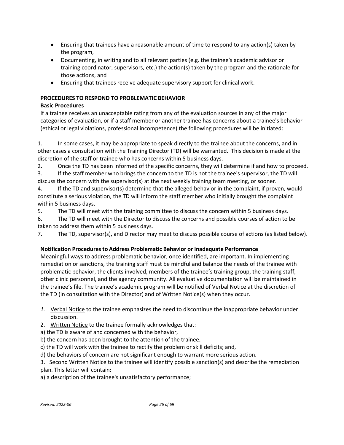- Ensuring that trainees have a reasonable amount of time to respond to any action(s) taken by the program,
- Documenting, in writing and to all relevant parties (e.g. the trainee's academic advisor or training coordinator, supervisors, etc.) the action(s) taken by the program and the rationale for those actions, and
- Ensuring that trainees receive adequate supervisory support for clinical work.

# **PROCEDURES TO RESPOND TO PROBLEMATIC BEHAVIOR**

# **Basic Procedures**

If a trainee receives an unacceptable rating from any of the evaluation sources in any of the major categories of evaluation, or if a staff member or another trainee has concerns about a trainee's behavior (ethical or legal violations, professional incompetence) the following procedures will be initiated:

1. In some cases, it may be appropriate to speak directly to the trainee about the concerns, and in other cases a consultation with the Training Director (TD) will be warranted. This decision is made at the discretion of the staff or trainee who has concerns within 5 business days.

2. Once the TD has been informed of the specific concerns, they will determine if and how to proceed.

3. If the staff member who brings the concern to the TD is not the trainee's supervisor, the TD will discuss the concern with the supervisor(s) at the next weekly training team meeting, or sooner.

4. If the TD and supervisor(s) determine that the alleged behavior in the complaint, if proven, would constitute a serious violation, the TD will inform the staff member who initially brought the complaint within 5 business days.

5. The TD will meet with the training committee to discuss the concern within 5 business days.

6. The TD will meet with the Director to discuss the concerns and possible courses of action to be taken to address them within 5 business days.

7. The TD, supervisor(s), and Director may meet to discuss possible course of actions (as listed below).

# **Notification Procedures to Address Problematic Behavior or Inadequate Performance**

Meaningful ways to address problematic behavior, once identified, are important. In implementing remediation or sanctions, the training staff must be mindful and balance the needs of the trainee with problematic behavior, the clients involved, members of the trainee's training group, the training staff, other clinic personnel, and the agency community. All evaluative documentation will be maintained in the trainee's file. The trainee's academic program will be notified of Verbal Notice at the discretion of the TD (in consultation with the Director) and of Written Notice(s) when they occur.

- *1.* Verbal Notice to the trainee emphasizes the need to discontinue the inappropriate behavior under discussion.
- 2. Written Notice to the trainee formally acknowledges that:
- a) the TD is aware of and concerned with the behavior,

b) the concern has been brought to the attention of the trainee,

c) the TD will work with the trainee to rectify the problem or skill deficits; and,

d) the behaviors of concern are not significant enough to warrant more serious action.

3. Second Written Notice to the trainee will identify possible sanction(s) and describe the remediation plan. This letter will contain:

a) a description of the trainee's unsatisfactory performance;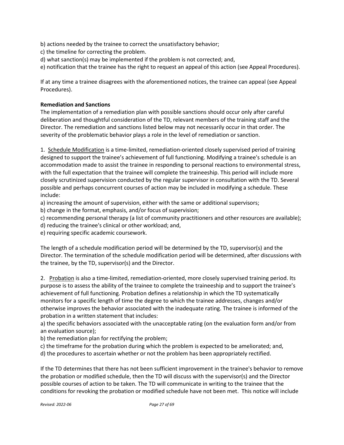b) actions needed by the trainee to correct the unsatisfactory behavior;

- c) the timeline for correcting the problem.
- d) what sanction(s) may be implemented if the problem is not corrected; and,

e) notification that the trainee has the right to request an appeal of this action (see Appeal Procedures).

If at any time a trainee disagrees with the aforementioned notices, the trainee can appeal (see Appeal Procedures).

# **Remediation and Sanctions**

The implementation of a remediation plan with possible sanctions should occur only after careful deliberation and thoughtful consideration of the TD, relevant members of the training staff and the Director. The remediation and sanctions listed below may not necessarily occur in that order. The severity of the problematic behavior plays a role in the level of remediation or sanction.

1. Schedule Modification is a time-limited, remediation-oriented closely supervised period of training designed to support the trainee's achievement of full functioning. Modifying a trainee's schedule is an accommodation made to assist the trainee in responding to personal reactions to environmental stress, with the full expectation that the trainee will complete the traineeship. This period will include more closely scrutinized supervision conducted by the regular supervisor in consultation with the TD. Several possible and perhaps concurrent courses of action may be included in modifying a schedule. These include:

a) increasing the amount of supervision, either with the same or additional supervisors;

b) change in the format, emphasis, and/or focus of supervision;

c) recommending personal therapy (a list of community practitioners and other resources are available);

d) reducing the trainee's clinical or other workload; and,

e) requiring specific academic coursework.

The length of a schedule modification period will be determined by the TD, supervisor(s) and the Director. The termination of the schedule modification period will be determined, after discussions with the trainee, by the TD, supervisor(s) and the Director.

2. Probation is also a time-limited, remediation-oriented, more closely supervised training period. Its purpose is to assess the ability of the trainee to complete the traineeship and to support the trainee's achievement of full functioning. Probation defines a relationship in which the TD systematically monitors for a specific length of time the degree to which the trainee addresses, changes and/or otherwise improves the behavior associated with the inadequate rating. The trainee is informed of the probation in a written statement that includes:

a) the specific behaviors associated with the unacceptable rating (on the evaluation form and/or from an evaluation source);

b) the remediation plan for rectifying the problem;

c) the timeframe for the probation during which the problem is expected to be ameliorated; and,

d) the procedures to ascertain whether or not the problem has been appropriately rectified.

If the TD determines that there has not been sufficient improvement in the trainee's behavior to remove the probation or modified schedule, then the TD will discuss with the supervisor(s) and the Director possible courses of action to be taken. The TD will communicate in writing to the trainee that the conditions for revoking the probation or modified schedule have not been met. This notice will include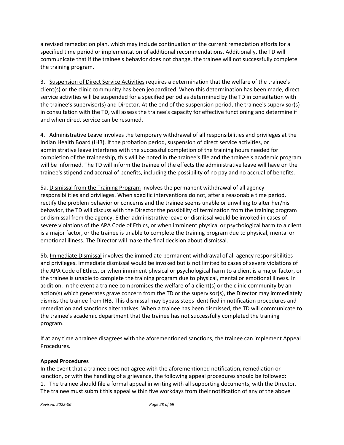a revised remediation plan, which may include continuation of the current remediation efforts for a specified time period or implementation of additional recommendations. Additionally, the TD will communicate that if the trainee's behavior does not change, the trainee will not successfully complete the training program.

3. Suspension of Direct Service Activities requires a determination that the welfare of the trainee's client(s) or the clinic community has been jeopardized. When this determination has been made, direct service activities will be suspended for a specified period as determined by the TD in consultation with the trainee's supervisor(s) and Director. At the end of the suspension period, the trainee's supervisor(s) in consultation with the TD, will assess the trainee's capacity for effective functioning and determine if and when direct service can be resumed.

4. Administrative Leave involves the temporary withdrawal of all responsibilities and privileges at the Indian Health Board (IHB). If the probation period, suspension of direct service activities, or administrative leave interferes with the successful completion of the training hours needed for completion of the traineeship, this will be noted in the trainee's file and the trainee's academic program will be informed. The TD will inform the trainee of the effects the administrative leave will have on the trainee's stipend and accrual of benefits, including the possibility of no pay and no accrual of benefits.

5a. Dismissal from the Training Program involves the permanent withdrawal of all agency responsibilities and privileges. When specific interventions do not, after a reasonable time period, rectify the problem behavior or concerns and the trainee seems unable or unwilling to alter her/his behavior, the TD will discuss with the Director the possibility of termination from the training program or dismissal from the agency. Either administrative leave or dismissal would be invoked in cases of severe violations of the APA Code of Ethics, or when imminent physical or psychological harm to a client is a major factor, or the trainee is unable to complete the training program due to physical, mental or emotional illness. The Director will make the final decision about dismissal.

5b. Immediate Dismissal involves the immediate permanent withdrawal of all agency responsibilities and privileges. Immediate dismissal would be invoked but is not limited to cases of severe violations of the APA Code of Ethics, or when imminent physical or psychological harm to a client is a major factor, or the trainee is unable to complete the training program due to physical, mental or emotional illness. In addition, in the event a trainee compromises the welfare of a client(s) or the clinic community by an action(s) which generates grave concern from the TD or the supervisor(s), the Director may immediately dismiss the trainee from IHB. This dismissal may bypass steps identified in notification procedures and remediation and sanctions alternatives. When a trainee has been dismissed, the TD will communicate to the trainee's academic department that the trainee has not successfully completed the training program.

If at any time a trainee disagrees with the aforementioned sanctions, the trainee can implement Appeal Procedures.

# **Appeal Procedures**

In the event that a trainee does not agree with the aforementioned notification, remediation or sanction, or with the handling of a grievance, the following appeal procedures should be followed: 1. The trainee should file a formal appeal in writing with all supporting documents, with the Director. The trainee must submit this appeal within five workdays from their notification of any of the above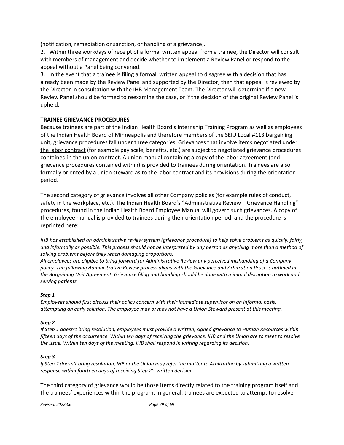(notification, remediation or sanction, or handling of a grievance).

2. Within three workdays of receipt of a formal written appeal from a trainee, the Director will consult with members of management and decide whether to implement a Review Panel or respond to the appeal without a Panel being convened.

3. In the event that a trainee is filing a formal, written appeal to disagree with a decision that has already been made by the Review Panel and supported by the Director, then that appeal is reviewed by the Director in consultation with the IHB Management Team. The Director will determine if a new Review Panel should be formed to reexamine the case, or if the decision of the original Review Panel is upheld.

# **TRAINEE GRIEVANCE PROCEDURES**

Because trainees are part of the Indian Health Board's Internship Training Program as well as employees of the Indian Health Board of Minneapolis and therefore members of the SEIU Local #113 bargaining unit, grievance procedures fall under three categories. Grievances that involve items negotiated under the labor contract (for example pay scale, benefits, etc.) are subject to negotiated grievance procedures contained in the union contract. A union manual containing a copy of the labor agreement (and grievance procedures contained within) is provided to trainees during orientation. Trainees are also formally oriented by a union steward as to the labor contract and its provisions during the orientation period.

The second category of grievance involves all other Company policies (for example rules of conduct, safety in the workplace, etc.). The Indian Health Board's "Administrative Review – Grievance Handling" procedures, found in the Indian Health Board Employee Manual will govern such grievances. A copy of the employee manual is provided to trainees during their orientation period, and the procedure is reprinted here:

*IHB has established an administrative review system (grievance procedure) to help solve problems as quickly, fairly,* and informally as possible. This process should not be interpreted by any person as anything more than a method of *solving problems before they reach damaging proportions.*

*All employees are eligible to bring forward for Administrative Review any perceived mishandling of a Company policy. The following Administrative Review process aligns with the Grievance and Arbitration Process outlined in* the Bargaining Unit Agreement. Grievance filing and handling should be done with minimal disruption to work and *serving patients.*

#### *Step 1*

*Employees should first discuss their policy concern with their immediate supervisor on an informal basis,* attempting an early solution. The employee may or may not have a Union Steward present at this meeting.

#### *Step 2*

*If Step 1 doesn't bring resolution, employees must provide a written, signed grievance to Human Resources within* fifteen days of the occurrence. Within ten days of receiving the grievance, IHB and the Union are to meet to resolve *the issue. Within ten days of the meeting, IHB shall respond in writing regarding its decision.*

#### *Step 3*

If Step 2 doesn't bring resolution, IHB or the Union may refer the matter to Arbitration by submitting a written *response within fourteen days of receiving Step 2's written decision.*

The third category of grievance would be those items directly related to the training program itself and the trainees' experiences within the program. In general, trainees are expected to attempt to resolve

*Revised: 2022-06 Page 29 of 69*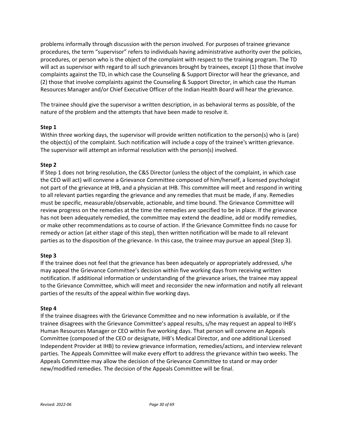problems informally through discussion with the person involved. For purposes of trainee grievance procedures, the term "supervisor" refers to individuals having administrative authority over the policies, procedures, or person who is the object of the complaint with respect to the training program. The TD will act as supervisor with regard to all such grievances brought by trainees, except (1) those that involve complaints against the TD, in which case the Counseling & Support Director will hear the grievance, and (2) those that involve complaints against the Counseling & Support Director, in which case the Human Resources Manager and/or Chief Executive Officer of the Indian Health Board will hear the grievance.

The trainee should give the supervisor a written description, in as behavioral terms as possible, of the nature of the problem and the attempts that have been made to resolve it.

# **Step 1**

Within three working days, the supervisor will provide written notification to the person(s) who is (are) the object(s) of the complaint. Such notification will include a copy of the trainee's written grievance. The supervisor will attempt an informal resolution with the person(s) involved.

#### **Step 2**

If Step 1 does not bring resolution, the C&S Director (unless the object of the complaint, in which case the CEO will act) will convene a Grievance Committee composed of him/herself, a licensed psychologist not part of the grievance at IHB, and a physician at IHB. This committee will meet and respond in writing to all relevant parties regarding the grievance and any remedies that must be made, if any. Remedies must be specific, measurable/observable, actionable, and time bound. The Grievance Committee will review progress on the remedies at the time the remedies are specified to be in place. If the grievance has not been adequately remedied, the committee may extend the deadline, add or modify remedies, or make other recommendations as to course of action. If the Grievance Committee finds no cause for remedy or action (at either stage of this step), then written notification will be made to all relevant parties as to the disposition of the grievance. In this case, the trainee may pursue an appeal (Step 3).

#### **Step 3**

If the trainee does not feel that the grievance has been adequately or appropriately addressed, s/he may appeal the Grievance Committee's decision within five working days from receiving written notification. If additional information or understanding of the grievance arises, the trainee may appeal to the Grievance Committee, which will meet and reconsider the new information and notify all relevant parties of the results of the appeal within five working days.

#### **Step 4**

If the trainee disagrees with the Grievance Committee and no new information is available, or if the trainee disagrees with the Grievance Committee's appeal results, s/he may request an appeal to IHB's Human Resources Manager or CEO within five working days. That person will convene an Appeals Committee (composed of the CEO or designate, IHB's Medical Director, and one additional Licensed Independent Provider at IHB) to review grievance information, remedies/actions, and interview relevant parties. The Appeals Committee will make every effort to address the grievance within two weeks. The Appeals Committee may allow the decision of the Grievance Committee to stand or may order new/modified remedies. The decision of the Appeals Committee will be final.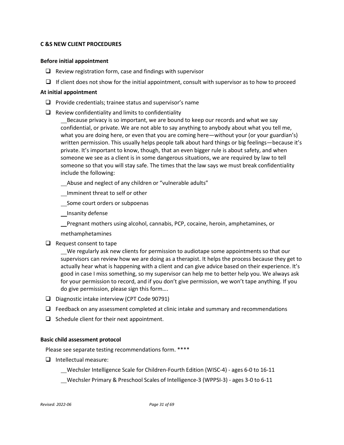## <span id="page-30-0"></span>**C &S NEW CLIENT PROCEDURES**

#### **Before initial appointment**

- $\Box$  Review registration form, case and findings with supervisor
- $\Box$  If client does not show for the initial appointment, consult with supervisor as to how to proceed

#### **At initial appointment**

- $\Box$  Provide credentials; trainee status and supervisor's name
- $\Box$  Review confidentiality and limits to confidentiality

Because privacy is so important, we are bound to keep our records and what we say confidential, or private. We are not able to say anything to anybody about what you tell me, what you are doing here, or even that you are coming here—without your (or your guardian's) written permission. This usually helps people talk about hard things or big feelings—because it's private. It's important to know, though, that an even bigger rule is about safety, and when someone we see as a client is in some dangerous situations, we are required by law to tell someone so that you will stay safe. The times that the law says we must break confidentiality include the following:

Abuse and neglect of any children or "vulnerable adults"

Imminent threat to self or other

Some court orders or subpoenas

\_\_Insanity defense

Pregnant mothers using alcohol, cannabis, PCP, cocaine, heroin, amphetamines, or

methamphetamines

 $\Box$  Request consent to tape

 We regularly ask new clients for permission to audiotape some appointments so that our supervisors can review how we are doing as a therapist. It helps the process because they get to actually hear what is happening with a client and can give advice based on their experience. It's good in case I miss something, so my supervisor can help me to better help you. We always ask for your permission to record, and if you don't give permission, we won't tape anything. If you do give permission, please sign this form….

- D Diagnostic intake interview (CPT Code 90791)
- $\Box$  Feedback on any assessment completed at clinic intake and summary and recommendations
- $\Box$  Schedule client for their next appointment.

#### **Basic child assessment protocol**

Please see separate testing recommendations form. \*\*\*\*

 $\Box$  Intellectual measure:

Wechsler Intelligence Scale for Children-Fourth Edition (WISC-4) - ages 6-0 to 16-11

Wechsler Primary & Preschool Scales of Intelligence-3 (WPPSI-3) - ages 3-0 to 6-11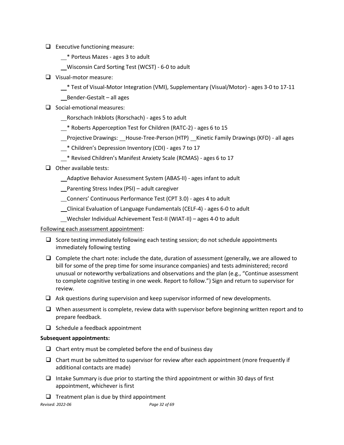- $\Box$  Executive functioning measure:
	- \* Porteus Mazes ages 3 to adult
	- Wisconsin Card Sorting Test (WCST) 6-0 to adult
- □ Visual-motor measure:
	- \* Test of Visual-Motor Integration (VMI), Supplementary (Visual/Motor) ages 3-0 to 17-11
	- Bender-Gestalt all ages
- $\Box$  Social-emotional measures:
	- Rorschach Inkblots (Rorschach) ages 5 to adult
	- $*$  Roberts Apperception Test for Children (RATC-2) ages 6 to 15
	- \_Projective Drawings: \_\_House-Tree-Person (HTP) \_\_Kinetic Family Drawings (KFD) all ages
	- \* Children's Depression Inventory (CDI) ages 7 to 17
	- \* Revised Children's Manifest Anxiety Scale (RCMAS) ages 6 to 17
- $\Box$  Other available tests:
	- Adaptive Behavior Assessment System (ABAS-II) ages infant to adult

Parenting Stress Index (PSI) – adult caregiver

Conners' Continuous Performance Test (CPT 3.0) - ages 4 to adult

Clinical Evaluation of Language Fundamentals (CELF-4) - ages 6-0 to adult

Wechsler Individual Achievement Test-II (WIAT-II) – ages 4-0 to adult

# Following each assessment appointment:

- $\Box$  Score testing immediately following each testing session; do not schedule appointments immediately following testing
- $\Box$  Complete the chart note: include the date, duration of assessment (generally, we are allowed to bill for some of the prep time for some insurance companies) and tests administered; record unusual or noteworthy verbalizations and observations and the plan (e.g., "Continue assessment to complete cognitive testing in one week. Report to follow.") Sign and return to supervisor for review.
- $\Box$  Ask questions during supervision and keep supervisor informed of new developments.
- $\Box$  When assessment is complete, review data with supervisor before beginning written report and to prepare feedback.
- $\Box$  Schedule a feedback appointment

# **Subsequent appointments:**

- $\Box$  Chart entry must be completed before the end of business day
- $\Box$  Chart must be submitted to supervisor for review after each appointment (more frequently if additional contacts are made)
- $\Box$  Intake Summary is due prior to starting the third appointment or within 30 days of first appointment, whichever is first
- $\Box$  Treatment plan is due by third appointment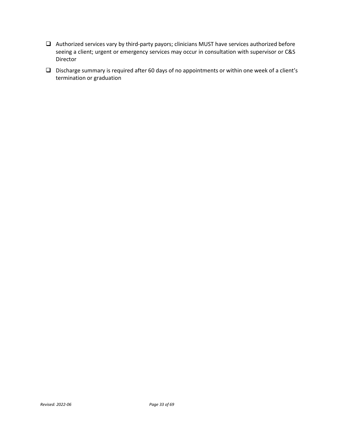- Authorized services vary by third-party payors; clinicians MUST have services authorized before seeing a client; urgent or emergency services may occur in consultation with supervisor or C&S Director
- Discharge summary is required after 60 days of no appointments or within one week of a client's termination or graduation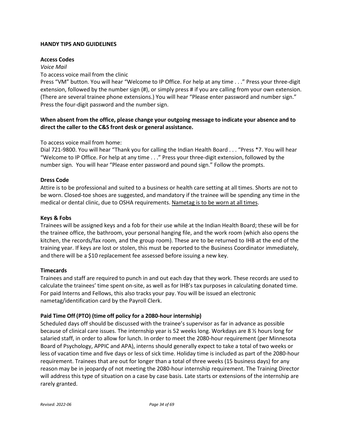# <span id="page-33-0"></span>**HANDY TIPS AND GUIDELINES**

# **Access Codes**

# *Voice Mail*

# To access voice mail from the clinic

Press "VM" button. You will hear "Welcome to IP Office. For help at any time . . ." Press your three-digit extension, followed by the number sign (#), or simply press # if you are calling from your own extension. (There are several trainee phone extensions.) You will hear "Please enter password and number sign." Press the four-digit password and the number sign.

# **When absent from the office, please change your outgoing message to indicate your absence and to direct the caller to the C&S front desk or general assistance.**

# To access voice mail from home:

Dial 721-9800. You will hear "Thank you for calling the Indian Health Board . . . "Press \*7. You will hear "Welcome to IP Office. For help at any time . . ." Press your three-digit extension, followed by the number sign. You will hear "Please enter password and pound sign." Follow the prompts.

# **Dress Code**

Attire is to be professional and suited to a business or health care setting at all times. Shorts are not to be worn. Closed-toe shoes are suggested, and mandatory if the trainee will be spending any time in the medical or dental clinic, due to OSHA requirements. Nametag is to be worn at all times.

# **Keys & Fobs**

Trainees will be assigned keys and a fob for their use while at the Indian Health Board; these will be for the trainee office, the bathroom, your personal hanging file, and the work room (which also opens the kitchen, the records/fax room, and the group room). These are to be returned to IHB at the end of the training year. If keys are lost or stolen, this must be reported to the Business Coordinator immediately, and there will be a \$10 replacement fee assessed before issuing a new key.

# **Timecards**

Trainees and staff are required to punch in and out each day that they work. These records are used to calculate the trainees' time spent on-site, as well as for IHB's tax purposes in calculating donated time. For paid Interns and Fellows, this also tracks your pay. You will be issued an electronic nametag/identification card by the Payroll Clerk.

# **Paid Time Off (PTO) (time off policy for a 2080-hour internship)**

Scheduled days off should be discussed with the trainee's supervisor as far in advance as possible because of clinical care issues. The internship year is 52 weeks long. Workdays are 8 ½ hours long for salaried staff, in order to allow for lunch. In order to meet the 2080-hour requirement (per Minnesota Board of Psychology, APPIC and APA), interns should generally expect to take a total of two weeks or less of vacation time and five days or less of sick time. Holiday time is included as part of the 2080-hour requirement. Trainees that are out for longer than a total of three weeks (15 business days) for any reason may be in jeopardy of not meeting the 2080-hour internship requirement. The Training Director will address this type of situation on a case by case basis. Late starts or extensions of the internship are rarely granted.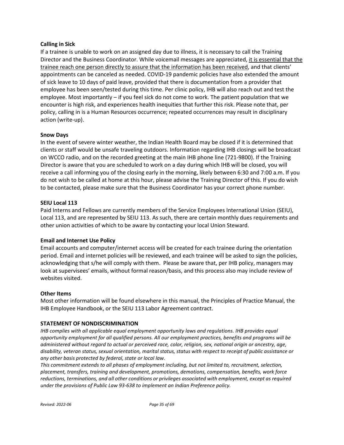#### **Calling in Sick**

If a trainee is unable to work on an assigned day due to illness, it is necessary to call the Training Director and the Business Coordinator. While voicemail messages are appreciated, it is essential that the trainee reach one person directly to assure that the information has been received, and that clients' appointments can be canceled as needed. COVID-19 pandemic policies have also extended the amount of sick leave to 10 days of paid leave, provided that there is documentation from a provider that employee has been seen/tested during this time. Per clinic policy, IHB will also reach out and test the employee. Most importantly – if you feel sick do not come to work. The patient population that we encounter is high risk, and experiences health inequities that further this risk. Please note that, per policy, calling in is a Human Resources occurrence; repeated occurrences may result in disciplinary action (write-up).

#### **Snow Days**

In the event of severe winter weather, the Indian Health Board may be closed if it is determined that clients or staff would be unsafe traveling outdoors. Information regarding IHB closings will be broadcast on WCCO radio, and on the recorded greeting at the main IHB phone line (721-9800). If the Training Director is aware that you are scheduled to work on a day during which IHB will be closed, you will receive a call informing you of the closing early in the morning, likely between 6:30 and 7:00 a.m. If you do not wish to be called at home at this hour, please advise the Training Director of this. If you do wish to be contacted, please make sure that the Business Coordinator has your correct phone number.

#### **SEIU Local 113**

Paid Interns and Fellows are currently members of the Service Employees International Union (SEIU), Local 113, and are represented by SEIU 113. As such, there are certain monthly dues requirements and other union activities of which to be aware by contacting your local Union Steward.

#### **Email and Internet Use Policy**

Email accounts and computer/internet access will be created for each trainee during the orientation period. Email and internet policies will be reviewed, and each trainee will be asked to sign the policies, acknowledging that s/he will comply with them. Please be aware that, per IHB policy, managers may look at supervisees' emails, without formal reason/basis, and this process also may include review of websites visited.

#### **Other Items**

Most other information will be found elsewhere in this manual, the Principles of Practice Manual, the IHB Employee Handbook, or the SEIU 113 Labor Agreement contract.

#### **STATEMENT OF NONDISCRIMINATION**

*IHB complies with all applicable equal employment opportunity laws and regulations. IHB provides equal opportunity employment for all qualified persons. All our employment practices, benefits and programs will be administered without regard to actual or perceived race, color, religion, sex, national origin or ancestry, age,* disability, veteran status, sexual orientation, marital status, status with respect to receipt of public assistance or *any other basis protected by federal, state or local law.*

*This commitment extends to all phases of employment including, but not limited to, recruitment, selection, placement, transfers, training and development, promotions, demotions, compensation, benefits, work force reductions, terminations, and all other conditions or privileges associated with employment, except as required under the provisions of Public Law 93-638 to implement an Indian Preference policy.*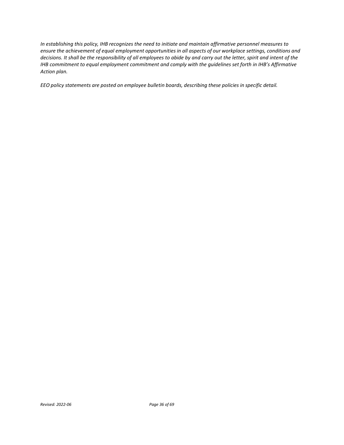*In establishing this policy, IHB recognizes the need to initiate and maintain affirmative personnel measures to ensure the achievement of equal employment opportunitiesin all aspects of our workplace settings, conditions and decisions. It shall be the responsibility of all employees to abide by and carry out the letter, spirit and intent of the IHB commitment to equal employment commitment and comply with the guidelines set forth in IHB's Affirmative Action plan.*

*EEO policy statements are posted on employee bulletin boards, describing these policies in specific detail.*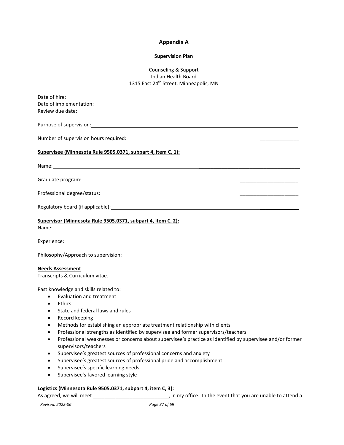#### **Appendix A**

#### **Supervision Plan**

#### Counseling & Support Indian Health Board 1315 East 24<sup>th</sup> Street, Minneapolis, MN

| Date of hire:                                                                                                                                                                               |
|---------------------------------------------------------------------------------------------------------------------------------------------------------------------------------------------|
| Date of implementation:                                                                                                                                                                     |
| Review due date:                                                                                                                                                                            |
|                                                                                                                                                                                             |
| Number of supervision hours required: with a state of the state of the state of supervision of supervision of                                                                               |
| Supervisee (Minnesota Rule 9505.0371, subpart 4, item C, 1):                                                                                                                                |
|                                                                                                                                                                                             |
|                                                                                                                                                                                             |
|                                                                                                                                                                                             |
|                                                                                                                                                                                             |
| Supervisor (Minnesota Rule 9505.0371, subpart 4, item C, 2):<br>Name:                                                                                                                       |
| Experience:                                                                                                                                                                                 |
| Philosophy/Approach to supervision:                                                                                                                                                         |
| <b>Needs Assessment</b>                                                                                                                                                                     |
| Transcripts & Curriculum vitae.                                                                                                                                                             |
| Past knowledge and skills related to:                                                                                                                                                       |
| <b>Evaluation and treatment</b><br>$\bullet$                                                                                                                                                |
| <b>Fthics</b><br>$\bullet$                                                                                                                                                                  |
| State and federal laws and rules                                                                                                                                                            |
| Record keeping                                                                                                                                                                              |
| Methods for establishing an appropriate treatment relationship with clients<br>$\bullet$<br>Professional strengths as identified by supervisee and former supervisors/teachers<br>$\bullet$ |
| Professional weaknesses or concerns about supervisee's practice as identified by supervisee and/or former<br>$\bullet$                                                                      |
| supervisors/teachers                                                                                                                                                                        |
| Supervisee's greatest sources of professional concerns and anxiety<br>$\bullet$                                                                                                             |
| Supervisee's greatest sources of professional pride and accomplishment                                                                                                                      |
| Supervisee's specific learning needs                                                                                                                                                        |

• Supervisee's favored learning style

# **Logistics (Minnesota Rule 9505.0371, subpart 4, item C, 3):**

As agreed, we will meet \_\_\_\_\_\_\_\_\_\_\_\_\_\_\_\_\_\_\_\_\_\_\_\_\_\_\_\_, in my office. In the event that you are unable to attend a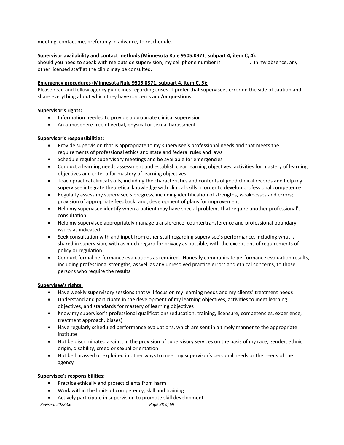meeting, contact me, preferably in advance, to reschedule.

#### **Supervisor availability and contact methods (Minnesota Rule 9505.0371, subpart 4, item C, 4):**

Should you need to speak with me outside supervision, my cell phone number is \_\_\_\_\_\_\_\_\_\_. In my absence, any other licensed staff at the clinic may be consulted.

#### **Emergency procedures (Minnesota Rule 9505.0371, subpart 4, item C, 5):**

Please read and follow agency guidelines regarding crises. I prefer that supervisees error on the side of caution and share everything about which they have concerns and/or questions.

#### **Supervisor's rights:**

- Information needed to provide appropriate clinical supervision
- An atmosphere free of verbal, physical or sexual harassment

#### **Supervisor's responsibilities:**

- Provide supervision that is appropriate to my supervisee's professional needs and that meets the requirements of professional ethics and state and federal rules and laws
- Schedule regular supervisory meetings and be available for emergencies
- Conduct a learning needs assessment and establish clear learning objectives, activities for mastery of learning objectives and criteria for mastery of learning objectives
- Teach practical clinical skills, including the characteristics and contents of good clinical records and help my supervisee integrate theoretical knowledge with clinical skills in order to develop professional competence
- Regularly assess my supervisee's progress, including identification of strengths, weaknesses and errors; provision of appropriate feedback; and, development of plans for improvement
- Help my supervisee identify when a patient may have special problems that require another professional's consultation
- Help my supervisee appropriately manage transference, countertransference and professional boundary issues as indicated
- Seek consultation with and input from other staff regarding supervisee's performance, including what is shared in supervision, with as much regard for privacy as possible, with the exceptions of requirements of policy or regulation
- Conduct formal performance evaluations as required. Honestly communicate performance evaluation results, including professional strengths, as well as any unresolved practice errors and ethical concerns, to those persons who require the results

#### **Supervisee's rights:**

- Have weekly supervisory sessions that will focus on my learning needs and my clients' treatment needs
- Understand and participate in the development of my learning objectives, activities to meet learning objectives, and standards for mastery of learning objectives
- Know my supervisor's professional qualifications (education, training, licensure, competencies, experience, treatment approach, biases)
- Have regularly scheduled performance evaluations, which are sent in a timely manner to the appropriate institute
- Not be discriminated against in the provision of supervisory services on the basis of my race, gender, ethnic origin, disability, creed or sexual orientation
- Not be harassed or exploited in other ways to meet my supervisor's personal needs or the needs of the agency

#### **Supervisee's responsibilities:**

- Practice ethically and protect clients from harm
- Work within the limits of competency, skill and training
- Actively participate in supervision to promote skill development

*Revised: 2022-06 Page 38 of 69*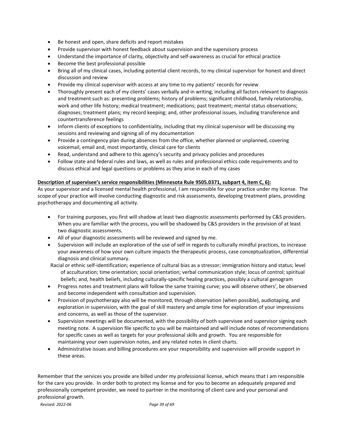- Be honest and open, share deficits and report mistakes
- Provide supervisor with honest feedback about supervision and the supervisory process
- Understand the importance of clarity, objectivity and self-awareness as crucial for ethical practice
- Become the best professional possible
- Bring all of my clinical cases, including potential client records, to my clinical supervisor for honest and direct discussion and review
- Provide my clinical supervisor with access at any time to my patients' records for review
- Thoroughly present each of my clients' cases verbally and in writing, including all factors relevant to diagnosis and treatment such as: presenting problems; history of problems; significant childhood, family relationship, work and other life history; medical treatment; medications; past treatment; mental status observations; diagnoses; treatment plans; my record keeping; and, other professional issues, including transference and countertransference feelings
- Inform clients of exceptions to confidentiality, including that my clinical supervisor will be discussing my sessions and reviewing and signing all of my documentation
- Provide a contingency plan during absences from the office, whether planned or unplanned, covering voicemail, email and, most importantly, clinical care for clients
- Read, understand and adhere to this agency's security and privacy policies and procedures
- Follow state and federal rules and laws, as well as rules and professional ethics code requirements and to discuss ethical and legal questions or problems as they arise in each of my cases

#### **Description of supervisee's service responsibilities (Minnesota Rule 9505.0371, subpart 4, item C, 6):**

As your supervisor and a licensed mental health professional, I am responsible for your practice under my license. The scope of your practice will involve conducting diagnostic and risk assessments, developing treatment plans, providing psychotherapy and documenting all activity.

- For training purposes, you first will shadow at least two diagnostic assessments performed by C&S providers. When you are familiar with the process, you will be shadowed by C&S providers in the provision of at least two diagnostic assessments.
- All of your diagnostic assessments will be reviewed and signed by me.
- Supervision will include an exploration of the use of self in regards to culturally mindful practices, to increase your awareness of how your own culture impacts the therapeutic process, case conceptualization, differential diagnosis and clinical summary.
- Racial or ethnic self-identification; experience of cultural bias as a stressor; immigration history and status; level of acculturation; time orientation; social orientation; verbal communication style; locus of control; spiritual beliefs; and, health beliefs, including culturally-specific healing practices, possibly a cultural genogram
- Progress notes and treatment plans will follow the same training curve; you will observe others', be observed and become independent with consultation and supervision.
- Provision of psychotherapy also will be monitored, through observation (when possible), audiotaping, and exploration in supervision, with the goal of skill mastery and ample time for exploration of your impressions and concerns, as well as those of the supervisor.
- Supervision meetings will be documented, with the possibility of both supervisee and supervisor signing each meeting note. A supervision file specific to you will be maintained and will include notes of recommendations for specific cases as well as targets for your professional skills and growth. You are responsible for maintaining your own supervision notes, and any related notes in client charts.
- Administrative issues and billing procedures are your responsibility and supervision will provide support in these areas.

Remember that the services you provide are billed under my professional license, which means that I am responsible for the care you provide. In order both to protect my license and for you to become an adequately prepared and professionally competent provider, we need to partner in the monitoring of client care and your personal and professional growth.

*Revised: 2022-06 Page 39 of 69*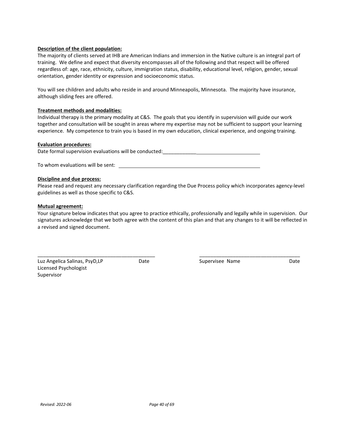#### **Description of the client population:**

The majority of clients served at IHB are American Indians and immersion in the Native culture is an integral part of training. We define and expect that diversity encompasses all of the following and that respect will be offered regardless of: age, race, ethnicity, culture, immigration status, disability, educational level, religion, gender, sexual orientation, gender identity or expression and socioeconomic status.

You will see children and adults who reside in and around Minneapolis, Minnesota. The majority have insurance, although sliding fees are offered.

#### **Treatment methods and modalities:**

Individual therapy is the primary modality at C&S. The goals that you identify in supervision will guide our work together and consultation will be sought in areas where my expertise may not be sufficient to support your learning experience. My competence to train you is based in my own education, clinical experience, and ongoing training.

#### **Evaluation procedures:**

Date formal supervision evaluations will be conducted: \_\_\_\_\_\_\_\_\_\_\_\_\_\_\_\_\_\_\_\_\_\_\_\_\_

To whom evaluations will be sent:

#### **Discipline and due process:**

Please read and request any necessary clarification regarding the Due Process policy which incorporates agency-level guidelines as well as those specific to C&S.

#### **Mutual agreement:**

Your signature below indicates that you agree to practice ethically, professionally and legally while in supervision. Our signatures acknowledge that we both agree with the content of this plan and that any changes to it will be reflected in a revised and signed document.

| Luz Angelica Salinas, PsyD,LP | Date | Supervisee Name | Date |
|-------------------------------|------|-----------------|------|
| Licensed Psychologist         |      |                 |      |
| Supervisor                    |      |                 |      |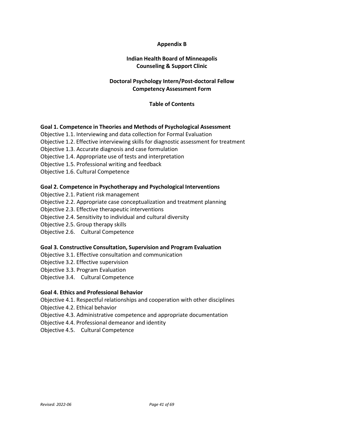# **Appendix B**

# **Indian Health Board of Minneapolis Counseling & Support Clinic**

# **Doctoral Psychology Intern/Post-doctoral Fellow Competency Assessment Form**

#### **Table of Contents**

#### **Goal 1. Competence in Theories and Methods of Psychological Assessment**

- Objective 1.1. Interviewing and data collection for Formal Evaluation
- Objective 1.2. Effective interviewing skills for diagnostic assessment for treatment
- Objective 1.3. Accurate diagnosis and case formulation
- Objective 1.4. Appropriate use of tests and interpretation
- Objective 1.5. Professional writing and feedback
- Objective 1.6. Cultural Competence

#### **Goal 2. Competence in Psychotherapy and Psychological Interventions**

- Objective 2.1. Patient risk management
- Objective 2.2. Appropriate case conceptualization and treatment planning
- Objective 2.3. Effective therapeutic interventions
- Objective 2.4. Sensitivity to individual and cultural diversity
- Objective 2.5. Group therapy skills
- Objective 2.6. Cultural Competence

#### **Goal 3. Constructive Consultation, Supervision and Program Evaluation**

- Objective 3.1. Effective consultation and communication
- Objective 3.2. Effective supervision
- Objective 3.3. Program Evaluation
- Objective 3.4. Cultural Competence

#### **Goal 4. Ethics and Professional Behavior**

- Objective 4.1. Respectful relationships and cooperation with other disciplines
- Objective 4.2. Ethical behavior
- Objective 4.3. Administrative competence and appropriate documentation
- Objective 4.4. Professional demeanor and identity
- Objective 4.5. Cultural Competence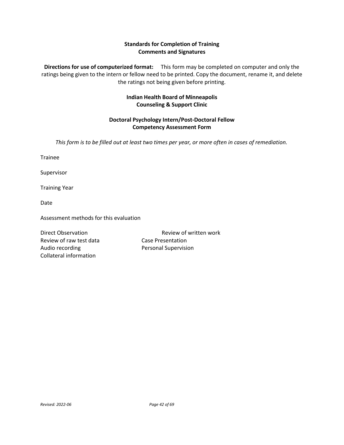# **Standards for Completion of Training Comments and Signatures**

**Directions for use of computerized format:** This form may be completed on computer and only the ratings being given to the intern or fellow need to be printed. Copy the document, rename it, and delete the ratings not being given before printing.

# **Indian Health Board of Minneapolis Counseling & Support Clinic**

# **Doctoral Psychology Intern/Post-Doctoral Fellow Competency Assessment Form**

*This form is to be filled out at least two times per year, or more often in cases of remediation.*

Trainee

Supervisor

Training Year

Date

Assessment methods for this evaluation

Review of raw test data Case Presentation Audio recording **Personal Supervision** Collateral information

Direct Observation **Review of written work**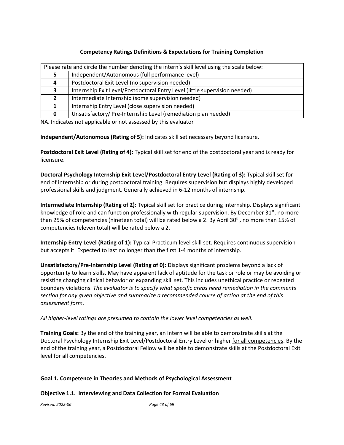# **Competency Ratings Definitions & Expectations for Training Completion**

|    | Please rate and circle the number denoting the intern's skill level using the scale below: |  |
|----|--------------------------------------------------------------------------------------------|--|
|    | Independent/Autonomous (full performance level)                                            |  |
| 4  | Postdoctoral Exit Level (no supervision needed)                                            |  |
| э. | Internship Exit Level/Postdoctoral Entry Level (little supervision needed)                 |  |
|    | Intermediate Internship (some supervision needed)                                          |  |
|    | Internship Entry Level (close supervision needed)                                          |  |
| 0  | Unsatisfactory/ Pre-Internship Level (remediation plan needed)                             |  |

NA. Indicates not applicable or not assessed by this evaluator

**Independent/Autonomous (Rating of 5):** Indicates skill set necessary beyond licensure.

**Postdoctoral Exit Level (Rating of 4):** Typical skill set for end of the postdoctoral year and is ready for licensure.

**Doctoral Psychology Internship Exit Level/Postdoctoral Entry Level (Rating of 3):** Typical skill set for end of internship or during postdoctoral training. Requires supervision but displays highly developed professional skills and judgment. Generally achieved in 6-12 months of internship.

**Intermediate Internship (Rating of 2):** Typical skill set for practice during internship. Displays significant knowledge of role and can function professionally with regular supervision. By December  $31<sup>st</sup>$ , no more than 25% of competencies (nineteen total) will be rated below a 2. By April 30<sup>th</sup>, no more than 15% of competencies (eleven total) will be rated below a 2.

**Internship Entry Level (Rating of 1):** Typical Practicum level skill set. Requires continuous supervision but accepts it. Expected to last no longer than the first 1-4 months of internship.

**Unsatisfactory/Pre-Internship Level (Rating of 0):** Displays significant problems beyond a lack of opportunity to learn skills. May have apparent lack of aptitude for the task or role or may be avoiding or resisting changing clinical behavior or expanding skill set. This includes unethical practice or repeated boundary violations. *The evaluator is to specify what specific areas need remediation in the comments section for any given objective and summarize a recommended course of action at the end of this assessment form.*

*All higher-level ratings are presumed to contain the lower level competencies as well.*

**Training Goals:** By the end of the training year, an Intern will be able to demonstrate skills at the Doctoral Psychology Internship Exit Level/Postdoctoral Entry Level or higher for all competencies. By the end of the training year, a Postdoctoral Fellow will be able to demonstrate skills at the Postdoctoral Exit level for all competencies.

# **Goal 1. Competence in Theories and Methods of Psychological Assessment**

# **Objective 1.1. Interviewing and Data Collection for Formal Evaluation**

*Revised: 2022-06 Page 43 of 69*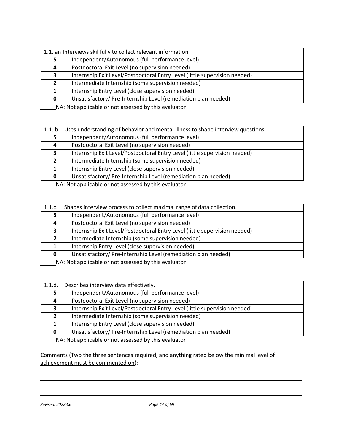|   | 1.1. an Interviews skillfully to collect relevant information.             |  |  |
|---|----------------------------------------------------------------------------|--|--|
|   | Independent/Autonomous (full performance level)                            |  |  |
| 4 | Postdoctoral Exit Level (no supervision needed)                            |  |  |
| 3 | Internship Exit Level/Postdoctoral Entry Level (little supervision needed) |  |  |
|   | Intermediate Internship (some supervision needed)                          |  |  |
|   | Internship Entry Level (close supervision needed)                          |  |  |
| 0 | Unsatisfactory/Pre-Internship Level (remediation plan needed)              |  |  |
|   |                                                                            |  |  |

| 1.1 b | Uses understanding of behavior and mental illness to shape interview questions.                                                                                                                                                      |
|-------|--------------------------------------------------------------------------------------------------------------------------------------------------------------------------------------------------------------------------------------|
|       | Independent/Autonomous (full performance level)                                                                                                                                                                                      |
| 4     | Postdoctoral Exit Level (no supervision needed)                                                                                                                                                                                      |
| э.    | Internship Exit Level/Postdoctoral Entry Level (little supervision needed)                                                                                                                                                           |
|       | Intermediate Internship (some supervision needed)                                                                                                                                                                                    |
|       | Internship Entry Level (close supervision needed)                                                                                                                                                                                    |
| 0     | Unsatisfactory/ Pre-Internship Level (remediation plan needed)                                                                                                                                                                       |
|       | $\mathbf{A}$ and $\mathbf{A}$ are the set of the set of the set of the set of the set of the set of the set of the set of the set of the set of the set of the set of the set of the set of the set of the set of the set of the set |

MA: Not applicable or not assessed by this evaluator

| 1.1.c.       | Shapes interview process to collect maximal range of data collection.                                                 |
|--------------|-----------------------------------------------------------------------------------------------------------------------|
|              | Independent/Autonomous (full performance level)                                                                       |
| 4            | Postdoctoral Exit Level (no supervision needed)                                                                       |
|              | Internship Exit Level/Postdoctoral Entry Level (little supervision needed)                                            |
|              | Intermediate Internship (some supervision needed)                                                                     |
|              | Internship Entry Level (close supervision needed)                                                                     |
| <sup>0</sup> | Unsatisfactory/Pre-Internship Level (remediation plan needed)                                                         |
|              | <b>ARABIA DE LE DE LA CARACTER DE LA CARACTER DE LA CARACTER DE LA CARACTER DE LA CARACTER DE LA CARACTER DE LA C</b> |

MA: Not applicable or not assessed by this evaluator

| 1.1.d. | Describes interview data effectively.                                      |
|--------|----------------------------------------------------------------------------|
|        | Independent/Autonomous (full performance level)                            |
| 4      | Postdoctoral Exit Level (no supervision needed)                            |
|        | Internship Exit Level/Postdoctoral Entry Level (little supervision needed) |
|        | Intermediate Internship (some supervision needed)                          |
|        | Internship Entry Level (close supervision needed)                          |
| O.     | Unsatisfactory/Pre-Internship Level (remediation plan needed)              |

NA: Not applicable or not assessed by this evaluator

Comments (Two the three sentences required, and anything rated below the minimal level of achievement must be commented on):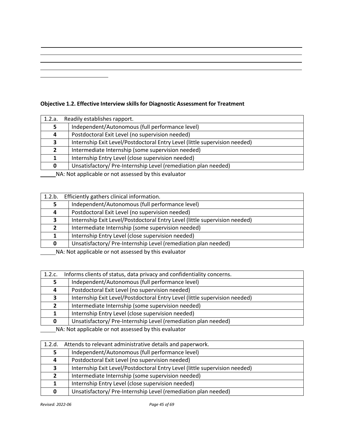# **Objective 1.2. Effective Interview skillsfor Diagnostic Assessment for Treatment**

| 1.2.a. | Readily establishes rapport.                                               |
|--------|----------------------------------------------------------------------------|
|        | Independent/Autonomous (full performance level)                            |
| 4      | Postdoctoral Exit Level (no supervision needed)                            |
| 3      | Internship Exit Level/Postdoctoral Entry Level (little supervision needed) |
|        | Intermediate Internship (some supervision needed)                          |
|        | Internship Entry Level (close supervision needed)                          |
| 0      | Unsatisfactory/Pre-Internship Level (remediation plan needed)              |
|        |                                                                            |

NA: Not applicable or not assessed by this evaluator

| 1.2.b.                                                                            | Efficiently gathers clinical information.                                  |
|-----------------------------------------------------------------------------------|----------------------------------------------------------------------------|
|                                                                                   | Independent/Autonomous (full performance level)                            |
| 4                                                                                 | Postdoctoral Exit Level (no supervision needed)                            |
| э.                                                                                | Internship Exit Level/Postdoctoral Entry Level (little supervision needed) |
|                                                                                   | Intermediate Internship (some supervision needed)                          |
|                                                                                   | Internship Entry Level (close supervision needed)                          |
| <sup>0</sup>                                                                      | Unsatisfactory/Pre-Internship Level (remediation plan needed)              |
| <b>ALA</b> ALAB a substituted a series and a series of the alaba and all subsets. |                                                                            |

MA: Not applicable or not assessed by this evaluator

| 1.2.c.        | Informs clients of status, data privacy and confidentiality concerns.      |
|---------------|----------------------------------------------------------------------------|
|               | Independent/Autonomous (full performance level)                            |
|               | Postdoctoral Exit Level (no supervision needed)                            |
| 3             | Internship Exit Level/Postdoctoral Entry Level (little supervision needed) |
| $\mathcal{P}$ | Intermediate Internship (some supervision needed)                          |
|               | Internship Entry Level (close supervision needed)                          |
| 0             | Unsatisfactory/Pre-Internship Level (remediation plan needed)              |
|               | NA blot applicable or not accorsed by this ovaluator                       |

| 1.2.d. | Attends to relevant administrative details and paperwork.                  |
|--------|----------------------------------------------------------------------------|
|        | Independent/Autonomous (full performance level)                            |
| 4      | Postdoctoral Exit Level (no supervision needed)                            |
| 3      | Internship Exit Level/Postdoctoral Entry Level (little supervision needed) |
|        | Intermediate Internship (some supervision needed)                          |
|        | Internship Entry Level (close supervision needed)                          |
|        | Unsatisfactory/Pre-Internship Level (remediation plan needed)              |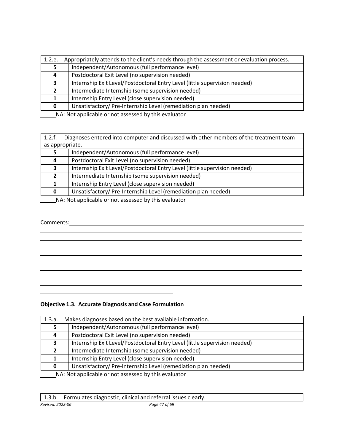| 1.2.e.        | Appropriately attends to the client's needs through the assessment or evaluation process. |
|---------------|-------------------------------------------------------------------------------------------|
|               | Independent/Autonomous (full performance level)                                           |
| 4             | Postdoctoral Exit Level (no supervision needed)                                           |
| 3             | Internship Exit Level/Postdoctoral Entry Level (little supervision needed)                |
| $\mathcal{P}$ | Intermediate Internship (some supervision needed)                                         |
|               | Internship Entry Level (close supervision needed)                                         |
| 0             | Unsatisfactory/Pre-Internship Level (remediation plan needed)                             |

1.2.f. Diagnoses entered into computer and discussed with other members of the treatment team as appropriate.

|   | Independent/Autonomous (full performance level)                                                                                                                                                                                                                                          |  |
|---|------------------------------------------------------------------------------------------------------------------------------------------------------------------------------------------------------------------------------------------------------------------------------------------|--|
| 4 | Postdoctoral Exit Level (no supervision needed)                                                                                                                                                                                                                                          |  |
|   | Internship Exit Level/Postdoctoral Entry Level (little supervision needed)                                                                                                                                                                                                               |  |
|   | Intermediate Internship (some supervision needed)                                                                                                                                                                                                                                        |  |
|   | Internship Entry Level (close supervision needed)                                                                                                                                                                                                                                        |  |
|   | Unsatisfactory/ Pre-Internship Level (remediation plan needed)                                                                                                                                                                                                                           |  |
|   | $\mathbf{r}$ , and $\mathbf{r}$ , and $\mathbf{r}$ , and $\mathbf{r}$ , and $\mathbf{r}$ , and $\mathbf{r}$ , and $\mathbf{r}$ , and $\mathbf{r}$ , and $\mathbf{r}$ , and $\mathbf{r}$ , and $\mathbf{r}$ , and $\mathbf{r}$ , and $\mathbf{r}$ , and $\mathbf{r}$ , and $\mathbf{r}$ , |  |

**NA: Not applicable or not assessed by this evaluator** 

# Comments:

# **Objective 1.3. Accurate Diagnosis and Case Formulation**

| 1.3.a.                                               | Makes diagnoses based on the best available information.                   |  |
|------------------------------------------------------|----------------------------------------------------------------------------|--|
|                                                      | Independent/Autonomous (full performance level)                            |  |
| 4                                                    | Postdoctoral Exit Level (no supervision needed)                            |  |
| 3                                                    | Internship Exit Level/Postdoctoral Entry Level (little supervision needed) |  |
|                                                      | Intermediate Internship (some supervision needed)                          |  |
|                                                      | Internship Entry Level (close supervision needed)                          |  |
| 0                                                    | Unsatisfactory/ Pre-Internship Level (remediation plan needed)             |  |
| NA: Not applicable or not assessed by this evaluator |                                                                            |  |

|                  | 1.3.b. Formulates diagnostic, clinical and referral issues clearly. |               |
|------------------|---------------------------------------------------------------------|---------------|
| Revised: 2022-06 |                                                                     | Paae 47 of 69 |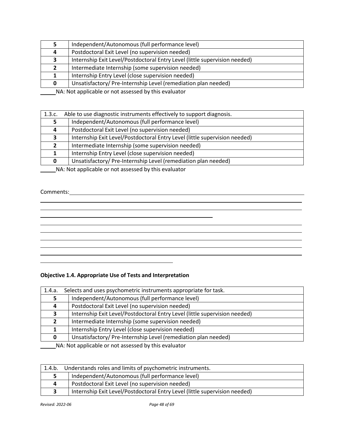|                                                                                                                                                   | Independent/Autonomous (full performance level)                            |
|---------------------------------------------------------------------------------------------------------------------------------------------------|----------------------------------------------------------------------------|
| 4                                                                                                                                                 | Postdoctoral Exit Level (no supervision needed)                            |
| 2                                                                                                                                                 | Internship Exit Level/Postdoctoral Entry Level (little supervision needed) |
|                                                                                                                                                   | Intermediate Internship (some supervision needed)                          |
|                                                                                                                                                   | Internship Entry Level (close supervision needed)                          |
| 0                                                                                                                                                 | Unsatisfactory/Pre-Internship Level (remediation plan needed)              |
| $\mathbf{r}$ , and $\mathbf{r}$ , and $\mathbf{r}$ , and $\mathbf{r}$ , and $\mathbf{r}$ , and $\mathbf{r}$ , and $\mathbf{r}$ , and $\mathbf{r}$ |                                                                            |

| 1.3.c.                                                                            | Able to use diagnostic instruments effectively to support diagnosis.       |  |
|-----------------------------------------------------------------------------------|----------------------------------------------------------------------------|--|
|                                                                                   | Independent/Autonomous (full performance level)                            |  |
| 4                                                                                 | Postdoctoral Exit Level (no supervision needed)                            |  |
|                                                                                   | Internship Exit Level/Postdoctoral Entry Level (little supervision needed) |  |
|                                                                                   | Intermediate Internship (some supervision needed)                          |  |
|                                                                                   | Internship Entry Level (close supervision needed)                          |  |
| 0                                                                                 | Unsatisfactory/Pre-Internship Level (remediation plan needed)              |  |
| <b>ALA</b> ALAB a substituted a series and a series of the alaba and all subsets. |                                                                            |  |

NA: Not applicable or not assessed by this evaluator

# Comments:

# **Objective 1.4. Appropriate Use of Tests and Interpretation**

| 1.4.a.                                               | Selects and uses psychometric instruments appropriate for task.            |
|------------------------------------------------------|----------------------------------------------------------------------------|
|                                                      | Independent/Autonomous (full performance level)                            |
| 4                                                    | Postdoctoral Exit Level (no supervision needed)                            |
| 3                                                    | Internship Exit Level/Postdoctoral Entry Level (little supervision needed) |
| $\mathbf{2}$                                         | Intermediate Internship (some supervision needed)                          |
|                                                      | Internship Entry Level (close supervision needed)                          |
| 0                                                    | Unsatisfactory/Pre-Internship Level (remediation plan needed)              |
| NA: Not applicable or not assessed by this evaluator |                                                                            |

1.4.b. Understands roles and limits of psychometric instruments. Independent/Autonomous (full performance level) Postdoctoral Exit Level (no supervision needed) Internship Exit Level/Postdoctoral Entry Level (little supervision needed)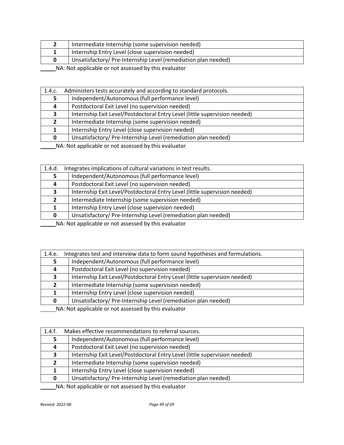|  | Intermediate Internship (some supervision needed)             |  |
|--|---------------------------------------------------------------|--|
|  | Internship Entry Level (close supervision needed)             |  |
|  | Unsatisfactory/Pre-Internship Level (remediation plan needed) |  |
|  |                                                               |  |

| 1.4.c.       | Administers tests accurately and according to standard protocols.          |  |
|--------------|----------------------------------------------------------------------------|--|
|              | Independent/Autonomous (full performance level)                            |  |
| 4            | Postdoctoral Exit Level (no supervision needed)                            |  |
|              | Internship Exit Level/Postdoctoral Entry Level (little supervision needed) |  |
| $\mathbf{z}$ | Intermediate Internship (some supervision needed)                          |  |
|              | Internship Entry Level (close supervision needed)                          |  |
| 0            | Unsatisfactory/ Pre-Internship Level (remediation plan needed)             |  |

NA: Not applicable or not assessed by this evaluator

| 1.4.d.                                                | Integrates implications of cultural variations in test results.            |  |
|-------------------------------------------------------|----------------------------------------------------------------------------|--|
|                                                       | Independent/Autonomous (full performance level)                            |  |
|                                                       | Postdoctoral Exit Level (no supervision needed)                            |  |
| 3                                                     | Internship Exit Level/Postdoctoral Entry Level (little supervision needed) |  |
|                                                       | Intermediate Internship (some supervision needed)                          |  |
|                                                       | Internship Entry Level (close supervision needed)                          |  |
| 0                                                     | Unsatisfactory/Pre-Internship Level (remediation plan needed)              |  |
| MA, Net oppliedels annual secondary but die such atom |                                                                            |  |

NA: Not applicable or not assessed by this evaluator

| 1.4.e.                                               | Integrates test and interview data to form sound hypotheses and formulations. |
|------------------------------------------------------|-------------------------------------------------------------------------------|
|                                                      | Independent/Autonomous (full performance level)                               |
| 4                                                    | Postdoctoral Exit Level (no supervision needed)                               |
|                                                      | Internship Exit Level/Postdoctoral Entry Level (little supervision needed)    |
|                                                      | Intermediate Internship (some supervision needed)                             |
|                                                      | Internship Entry Level (close supervision needed)                             |
| 0                                                    | Unsatisfactory/Pre-Internship Level (remediation plan needed)                 |
| NA . Net enalizable as not essessed buthis such star |                                                                               |

NA: Not applicable or not assessed by this evaluator

| 1.4.f. | Makes effective recommendations to referral sources.                       |  |
|--------|----------------------------------------------------------------------------|--|
|        | Independent/Autonomous (full performance level)                            |  |
| 4      | Postdoctoral Exit Level (no supervision needed)                            |  |
| 3.     | Internship Exit Level/Postdoctoral Entry Level (little supervision needed) |  |
|        | Intermediate Internship (some supervision needed)                          |  |
|        | Internship Entry Level (close supervision needed)                          |  |
|        | Unsatisfactory/Pre-Internship Level (remediation plan needed)              |  |

NA: Not applicable or not assessed by this evaluator

 $\sim$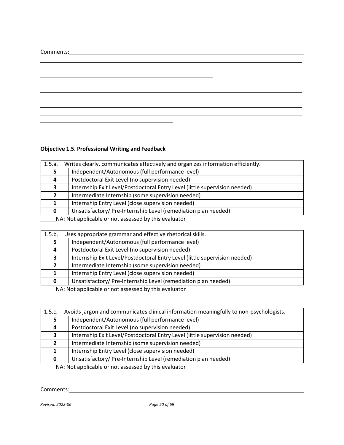# Comments:

# **Objective 1.5. Professional Writing and Feedback**

<u> 1989 - Johann Barn, amerikansk politiker (d. 1989)</u>

| 1.5.a.                                              | Writes clearly, communicates effectively and organizes information efficiently. |  |
|-----------------------------------------------------|---------------------------------------------------------------------------------|--|
|                                                     | Independent/Autonomous (full performance level)                                 |  |
| 4                                                   | Postdoctoral Exit Level (no supervision needed)                                 |  |
| 3                                                   | Internship Exit Level/Postdoctoral Entry Level (little supervision needed)      |  |
|                                                     | Intermediate Internship (some supervision needed)                               |  |
|                                                     | Internship Entry Level (close supervision needed)                               |  |
| 0                                                   | Unsatisfactory/Pre-Internship Level (remediation plan needed)                   |  |
| MA, Net opplied as part cooperad but also published |                                                                                 |  |

NA: Not applicable or not assessed by this evaluator

| 1.5.b.                                                   | Uses appropriate grammar and effective rhetorical skills.                  |
|----------------------------------------------------------|----------------------------------------------------------------------------|
|                                                          | Independent/Autonomous (full performance level)                            |
| 4                                                        | Postdoctoral Exit Level (no supervision needed)                            |
| э.                                                       | Internship Exit Level/Postdoctoral Entry Level (little supervision needed) |
|                                                          | Intermediate Internship (some supervision needed)                          |
|                                                          | Internship Entry Level (close supervision needed)                          |
| 0                                                        | Unsatisfactory/Pre-Internship Level (remediation plan needed)              |
| MA . Materializable concert concertable this confliction |                                                                            |

NA: Not applicable or not assessed by this evaluator

| 1.5.c.                                               | Avoids jargon and communicates clinical information meaningfully to non-psychologists. |
|------------------------------------------------------|----------------------------------------------------------------------------------------|
|                                                      | Independent/Autonomous (full performance level)                                        |
| 4                                                    | Postdoctoral Exit Level (no supervision needed)                                        |
|                                                      | Internship Exit Level/Postdoctoral Entry Level (little supervision needed)             |
|                                                      | Intermediate Internship (some supervision needed)                                      |
|                                                      | Internship Entry Level (close supervision needed)                                      |
| 0                                                    | Unsatisfactory/Pre-Internship Level (remediation plan needed)                          |
| NA: Not applicable or not accossed by this ovaluator |                                                                                        |

NA: Not applicable or not assessed by this evaluator

Comments: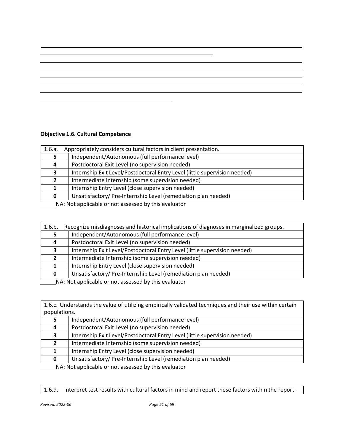# **Objective 1.6. Cultural Competence**

| 1.6.a.                                             | Appropriately considers cultural factors in client presentation.           |
|----------------------------------------------------|----------------------------------------------------------------------------|
|                                                    | Independent/Autonomous (full performance level)                            |
| 4                                                  | Postdoctoral Exit Level (no supervision needed)                            |
| 3                                                  | Internship Exit Level/Postdoctoral Entry Level (little supervision needed) |
| $\mathbf{z}$                                       | Intermediate Internship (some supervision needed)                          |
|                                                    | Internship Entry Level (close supervision needed)                          |
|                                                    | Unsatisfactory/Pre-Internship Level (remediation plan needed)              |
| NA Ust applicable as not assessed butbis qualupter |                                                                            |

NA: Not applicable or not assessed by this evaluator

| 1.6.b.                                                                                                                                                                                                                               | Recognize misdiagnoses and historical implications of diagnoses in marginalized groups. |
|--------------------------------------------------------------------------------------------------------------------------------------------------------------------------------------------------------------------------------------|-----------------------------------------------------------------------------------------|
|                                                                                                                                                                                                                                      | Independent/Autonomous (full performance level)                                         |
| 4                                                                                                                                                                                                                                    | Postdoctoral Exit Level (no supervision needed)                                         |
|                                                                                                                                                                                                                                      | Internship Exit Level/Postdoctoral Entry Level (little supervision needed)              |
|                                                                                                                                                                                                                                      | Intermediate Internship (some supervision needed)                                       |
|                                                                                                                                                                                                                                      | Internship Entry Level (close supervision needed)                                       |
|                                                                                                                                                                                                                                      | Unsatisfactory/Pre-Internship Level (remediation plan needed)                           |
| $\mathbf{A}$ and $\mathbf{A}$ are the set of the set of the set of the set of the set of the set of the set of the set of the set of the set of the set of the set of the set of the set of the set of the set of the set of the set |                                                                                         |

**NA: Not applicable or not assessed by this evaluator** 

1.6.c. Understands the value of utilizing empirically validated techniques and their use within certain populations.

|                                                                           | Independent/Autonomous (full performance level)                            |
|---------------------------------------------------------------------------|----------------------------------------------------------------------------|
|                                                                           | Postdoctoral Exit Level (no supervision needed)                            |
|                                                                           | Internship Exit Level/Postdoctoral Entry Level (little supervision needed) |
|                                                                           | Intermediate Internship (some supervision needed)                          |
|                                                                           | Internship Entry Level (close supervision needed)                          |
| 0                                                                         | Unsatisfactory/Pre-Internship Level (remediation plan needed)              |
| <b>ALA ALA ALA ANG PERMITIAN ANG PARAMAINA ANG PARAMAINA ANG PARAMAIN</b> |                                                                            |

MA: Not applicable or not assessed by this evaluator

1.6.d. Interpret test results with cultural factors in mind and report these factors within the report.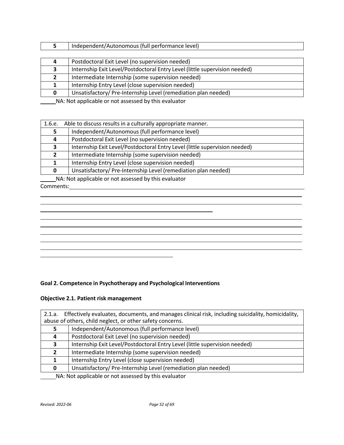| Independent/Autonomous (full performance level)                            |
|----------------------------------------------------------------------------|
|                                                                            |
| Postdoctoral Exit Level (no supervision needed)                            |
| Internship Exit Level/Postdoctoral Entry Level (little supervision needed) |
| Intermediate Internship (some supervision needed)                          |
| Internship Entry Level (close supervision needed)                          |
| Unsatisfactory/Pre-Internship Level (remediation plan needed)              |
|                                                                            |

| 1.6.e. | Able to discuss results in a culturally appropriate manner.                |  |
|--------|----------------------------------------------------------------------------|--|
|        | Independent/Autonomous (full performance level)                            |  |
| Д      | Postdoctoral Exit Level (no supervision needed)                            |  |
|        | Internship Exit Level/Postdoctoral Entry Level (little supervision needed) |  |
|        | Intermediate Internship (some supervision needed)                          |  |
|        | Internship Entry Level (close supervision needed)                          |  |
| 0      | Unsatisfactory/Pre-Internship Level (remediation plan needed)              |  |

 $\overline{\phantom{0}}$ 

NA: Not applicable or not assessed by this evaluator Comments:

# **Goal 2. Competence in Psychotherapy and Psychological Interventions**

# **Objective 2.1. Patient risk management**

| 2.1.a.                                                        | Effectively evaluates, documents, and manages clinical risk, including suicidality, homicidality, |
|---------------------------------------------------------------|---------------------------------------------------------------------------------------------------|
| abuse of others, child neglect, or other safety concerns.     |                                                                                                   |
|                                                               | Independent/Autonomous (full performance level)                                                   |
| 4                                                             | Postdoctoral Exit Level (no supervision needed)                                                   |
| 3                                                             | Internship Exit Level/Postdoctoral Entry Level (little supervision needed)                        |
| $\mathbf{2}$                                                  | Intermediate Internship (some supervision needed)                                                 |
|                                                               | Internship Entry Level (close supervision needed)                                                 |
| 0                                                             | Unsatisfactory/Pre-Internship Level (remediation plan needed)                                     |
| $N\Lambda$ . Not applicable or not assessed by this evaluator |                                                                                                   |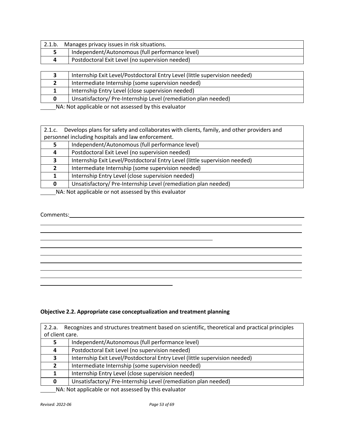| 2.1.b. | Manages privacy issues in risk situations.      |
|--------|-------------------------------------------------|
|        | Independent/Autonomous (full performance level) |
|        | Postdoctoral Exit Level (no supervision needed) |

|   | Internship Exit Level/Postdoctoral Entry Level (little supervision needed) |
|---|----------------------------------------------------------------------------|
|   | Intermediate Internship (some supervision needed)                          |
|   | Internship Entry Level (close supervision needed)                          |
| 0 | Unsatisfactory/Pre-Internship Level (remediation plan needed)              |
|   |                                                                            |

|                                                    | 2.1.c. Develops plans for safety and collaborates with clients, family, and other providers and |
|----------------------------------------------------|-------------------------------------------------------------------------------------------------|
| personnel including hospitals and law enforcement. |                                                                                                 |
|                                                    | Independent/Autonomous (full performance level)                                                 |
| 4                                                  | Postdoctoral Exit Level (no supervision needed)                                                 |
| э.                                                 | Internship Exit Level/Postdoctoral Entry Level (little supervision needed)                      |
|                                                    | Intermediate Internship (some supervision needed)                                               |
|                                                    | Internship Entry Level (close supervision needed)                                               |
| 0                                                  | Unsatisfactory/Pre-Internship Level (remediation plan needed)                                   |

NA: Not applicable or not assessed by this evaluator

#### Comments:

# **Objective 2.2. Appropriate case conceptualization and treatment planning**

| Recognizes and structures treatment based on scientific, theoretical and practical principles<br>2.2.a.<br>of client care. |                                                                            |
|----------------------------------------------------------------------------------------------------------------------------|----------------------------------------------------------------------------|
|                                                                                                                            | Independent/Autonomous (full performance level)                            |
| 4                                                                                                                          | Postdoctoral Exit Level (no supervision needed)                            |
| 3.                                                                                                                         | Internship Exit Level/Postdoctoral Entry Level (little supervision needed) |
|                                                                                                                            | Intermediate Internship (some supervision needed)                          |
|                                                                                                                            | Internship Entry Level (close supervision needed)                          |
| 0                                                                                                                          | Unsatisfactory/Pre-Internship Level (remediation plan needed)              |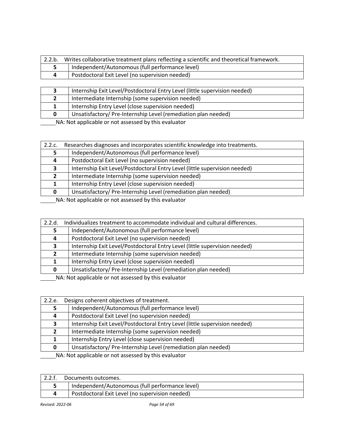| 2.2.b. | Writes collaborative treatment plans reflecting a scientific and theoretical framework. |
|--------|-----------------------------------------------------------------------------------------|
|        | Independent/Autonomous (full performance level)                                         |
|        | Postdoctoral Exit Level (no supervision needed)                                         |

| Internship Exit Level/Postdoctoral Entry Level (little supervision needed) |
|----------------------------------------------------------------------------|
| Intermediate Internship (some supervision needed)                          |
| Internship Entry Level (close supervision needed)                          |
| Unsatisfactory/Pre-Internship Level (remediation plan needed)              |

| 2.2.c.                                               | Researches diagnoses and incorporates scientific knowledge into treatments. |
|------------------------------------------------------|-----------------------------------------------------------------------------|
|                                                      | Independent/Autonomous (full performance level)                             |
|                                                      | Postdoctoral Exit Level (no supervision needed)                             |
| э.                                                   | Internship Exit Level/Postdoctoral Entry Level (little supervision needed)  |
| $\mathbf{z}$                                         | Intermediate Internship (some supervision needed)                           |
|                                                      | Internship Entry Level (close supervision needed)                           |
|                                                      | Unsatisfactory/Pre-Internship Level (remediation plan needed)               |
| NA blot applicable or not accorsed by this ovaluator |                                                                             |

| NA: Not applicable or not assessed by this evaluator |
|------------------------------------------------------|
|                                                      |

| 2.2.d.                                                                                                                 | Individualizes treatment to accommodate individual and cultural differences. |
|------------------------------------------------------------------------------------------------------------------------|------------------------------------------------------------------------------|
|                                                                                                                        | Independent/Autonomous (full performance level)                              |
| 4                                                                                                                      | Postdoctoral Exit Level (no supervision needed)                              |
| 3                                                                                                                      | Internship Exit Level/Postdoctoral Entry Level (little supervision needed)   |
|                                                                                                                        | Intermediate Internship (some supervision needed)                            |
|                                                                                                                        | Internship Entry Level (close supervision needed)                            |
| 0                                                                                                                      | Unsatisfactory/Pre-Internship Level (remediation plan needed)                |
| <b>ARABIA DE LES DE LA CARDINA DE LA CARDINA DE LA CARDINA DE LA CARDINA DE LA CARDINA DE LA CARDINA DE LA CARDINA</b> |                                                                              |

NA: Not applicable or not assessed by this evaluator

| 2.2.e.                                                 | Designs coherent objectives of treatment.                                  |
|--------------------------------------------------------|----------------------------------------------------------------------------|
|                                                        | Independent/Autonomous (full performance level)                            |
|                                                        | Postdoctoral Exit Level (no supervision needed)                            |
| ,                                                      | Internship Exit Level/Postdoctoral Entry Level (little supervision needed) |
|                                                        | Intermediate Internship (some supervision needed)                          |
|                                                        | Internship Entry Level (close supervision needed)                          |
|                                                        | Unsatisfactory/Pre-Internship Level (remediation plan needed)              |
| NA . Not applicable as not assessed but this qualupter |                                                                            |

| Documents outcomes.                             |
|-------------------------------------------------|
| Independent/Autonomous (full performance level) |
| Postdoctoral Exit Level (no supervision needed) |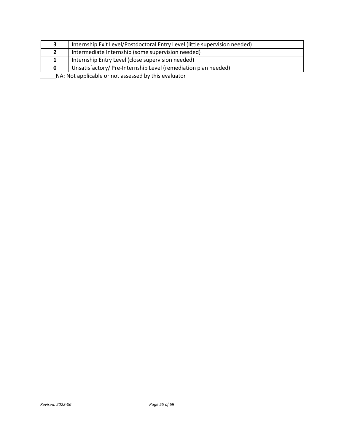|                                                      | Internship Exit Level/Postdoctoral Entry Level (little supervision needed) |
|------------------------------------------------------|----------------------------------------------------------------------------|
|                                                      | Intermediate Internship (some supervision needed)                          |
|                                                      | Internship Entry Level (close supervision needed)                          |
| 0                                                    | Unsatisfactory/Pre-Internship Level (remediation plan needed)              |
| NA: Not applicable or not assessed by this evaluator |                                                                            |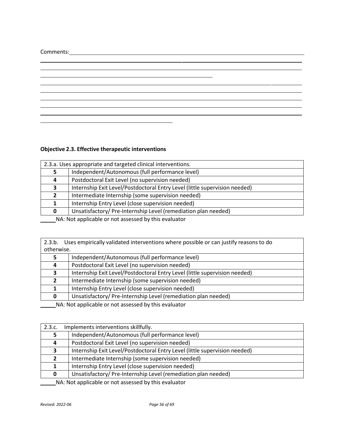# Comments:

# **Objective 2.3. Effective therapeutic interventions**

<u> 1989 - Johann Barn, amerikansk politiker (d. 1989)</u>

|   | 2.3.a. Uses appropriate and targeted clinical interventions.               |  |
|---|----------------------------------------------------------------------------|--|
|   | Independent/Autonomous (full performance level)                            |  |
| 4 | Postdoctoral Exit Level (no supervision needed)                            |  |
| 3 | Internship Exit Level/Postdoctoral Entry Level (little supervision needed) |  |
|   | Intermediate Internship (some supervision needed)                          |  |
|   | Internship Entry Level (close supervision needed)                          |  |
| 0 | Unsatisfactory/ Pre-Internship Level (remediation plan needed)             |  |
|   |                                                                            |  |

<u> 1980 - Johann Barbara, martin amerikan basar dan berasal dan berasal dalam basar dalam basar dalam basar dala</u>

MA: Not applicable or not assessed by this evaluator

| 2.3.b.<br>otherwise. | Uses empirically validated interventions where possible or can justify reasons to do |
|----------------------|--------------------------------------------------------------------------------------|
| 5                    | Independent/Autonomous (full performance level)                                      |
| 4                    | Postdoctoral Exit Level (no supervision needed)                                      |
| 3                    | Internship Exit Level/Postdoctoral Entry Level (little supervision needed)           |
| $\mathbf{z}$         | Intermediate Internship (some supervision needed)                                    |
|                      | Internship Entry Level (close supervision needed)                                    |
| <sup>0</sup>         | Unsatisfactory/Pre-Internship Level (remediation plan needed)                        |

NA: Not applicable or not assessed by this evaluator

| 2.3.c. | Implements interventions skillfully.                                                                                                                                                                                                                                                                      |
|--------|-----------------------------------------------------------------------------------------------------------------------------------------------------------------------------------------------------------------------------------------------------------------------------------------------------------|
|        | Independent/Autonomous (full performance level)                                                                                                                                                                                                                                                           |
|        | Postdoctoral Exit Level (no supervision needed)                                                                                                                                                                                                                                                           |
| 3      | Internship Exit Level/Postdoctoral Entry Level (little supervision needed)                                                                                                                                                                                                                                |
|        | Intermediate Internship (some supervision needed)                                                                                                                                                                                                                                                         |
|        | Internship Entry Level (close supervision needed)                                                                                                                                                                                                                                                         |
| 0      | Unsatisfactory/Pre-Internship Level (remediation plan needed)                                                                                                                                                                                                                                             |
|        | $\frac{1}{2}$ , $\frac{1}{2}$ , $\frac{1}{2}$ , $\frac{1}{2}$ , $\frac{1}{2}$ , $\frac{1}{2}$ , $\frac{1}{2}$ , $\frac{1}{2}$ , $\frac{1}{2}$ , $\frac{1}{2}$ , $\frac{1}{2}$ , $\frac{1}{2}$ , $\frac{1}{2}$ , $\frac{1}{2}$ , $\frac{1}{2}$ , $\frac{1}{2}$ , $\frac{1}{2}$ , $\frac{1}{2}$ , $\frac{1$ |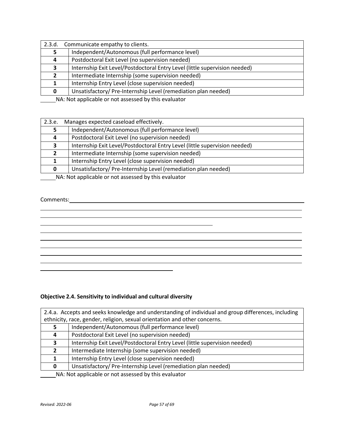| 2.3.d. | Communicate empathy to clients.                                            |  |
|--------|----------------------------------------------------------------------------|--|
|        | Independent/Autonomous (full performance level)                            |  |
| 4      | Postdoctoral Exit Level (no supervision needed)                            |  |
| э.     | Internship Exit Level/Postdoctoral Entry Level (little supervision needed) |  |
|        | Intermediate Internship (some supervision needed)                          |  |
|        | Internship Entry Level (close supervision needed)                          |  |
|        | Unsatisfactory/Pre-Internship Level (remediation plan needed)              |  |

| 2.3.e.                                                     | Manages expected caseload effectively.                                     |
|------------------------------------------------------------|----------------------------------------------------------------------------|
|                                                            | Independent/Autonomous (full performance level)                            |
| 4                                                          | Postdoctoral Exit Level (no supervision needed)                            |
|                                                            | Internship Exit Level/Postdoctoral Entry Level (little supervision needed) |
| Σ,                                                         | Intermediate Internship (some supervision needed)                          |
|                                                            | Internship Entry Level (close supervision needed)                          |
| 0                                                          | Unsatisfactory/Pre-Internship Level (remediation plan needed)              |
| MA . Materializable conceted associated to this support on |                                                                            |

NA: Not applicable or not assessed by this evaluator

# Comments:

# **Objective 2.4. Sensitivity to individual and cultural diversity**

| 2.4.a. Accepts and seeks knowledge and understanding of individual and group differences, including |                                                                            |  |
|-----------------------------------------------------------------------------------------------------|----------------------------------------------------------------------------|--|
|                                                                                                     | ethnicity, race, gender, religion, sexual orientation and other concerns.  |  |
|                                                                                                     | Independent/Autonomous (full performance level)                            |  |
| 4                                                                                                   | Postdoctoral Exit Level (no supervision needed)                            |  |
| 3.                                                                                                  | Internship Exit Level/Postdoctoral Entry Level (little supervision needed) |  |
| 2                                                                                                   | Intermediate Internship (some supervision needed)                          |  |
|                                                                                                     | Internship Entry Level (close supervision needed)                          |  |
| 0                                                                                                   | Unsatisfactory/ Pre-Internship Level (remediation plan needed)             |  |
| NA: Not applicable or not assessed by this evaluator                                                |                                                                            |  |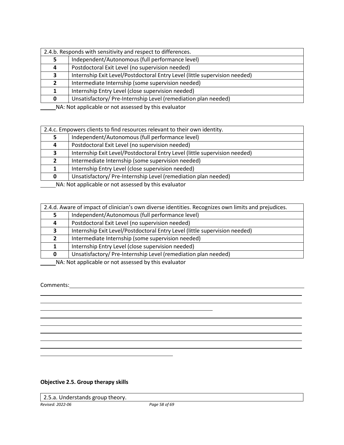| 2.4.b. Responds with sensitivity and respect to differences. |                                                                            |
|--------------------------------------------------------------|----------------------------------------------------------------------------|
|                                                              | Independent/Autonomous (full performance level)                            |
| 4                                                            | Postdoctoral Exit Level (no supervision needed)                            |
| 3                                                            | Internship Exit Level/Postdoctoral Entry Level (little supervision needed) |
|                                                              | Intermediate Internship (some supervision needed)                          |
|                                                              | Internship Entry Level (close supervision needed)                          |
| 0                                                            | Unsatisfactory/Pre-Internship Level (remediation plan needed)              |
|                                                              |                                                                            |

| 2.4.c. Empowers clients to find resources relevant to their own identity. |                                                                            |
|---------------------------------------------------------------------------|----------------------------------------------------------------------------|
|                                                                           | Independent/Autonomous (full performance level)                            |
| 4                                                                         | Postdoctoral Exit Level (no supervision needed)                            |
| 3                                                                         | Internship Exit Level/Postdoctoral Entry Level (little supervision needed) |
|                                                                           | Intermediate Internship (some supervision needed)                          |
|                                                                           | Internship Entry Level (close supervision needed)                          |
| 0                                                                         | Unsatisfactory/Pre-Internship Level (remediation plan needed)              |
| NA: Not applicable or not assossed butbis ovaluator                       |                                                                            |

NA: Not applicable or not assessed by this evaluator

| 2.4.d. Aware of impact of clinician's own diverse identities. Recognizes own limits and prejudices. |                                                                            |
|-----------------------------------------------------------------------------------------------------|----------------------------------------------------------------------------|
|                                                                                                     | Independent/Autonomous (full performance level)                            |
| 4                                                                                                   | Postdoctoral Exit Level (no supervision needed)                            |
| ર                                                                                                   | Internship Exit Level/Postdoctoral Entry Level (little supervision needed) |
|                                                                                                     | Intermediate Internship (some supervision needed)                          |
|                                                                                                     | Internship Entry Level (close supervision needed)                          |
| 0                                                                                                   | Unsatisfactory/Pre-Internship Level (remediation plan needed)              |
| <b>ALA</b> ALABA A CARD ALABA A CARD A CARD A CARD A LIBRARY AND THE CHARGE                         |                                                                            |

NA: Not applicable or not assessed by this evaluator

# Comments:

# **Objective 2.5. Group therapy skills**

2.5.a. Understands group theory.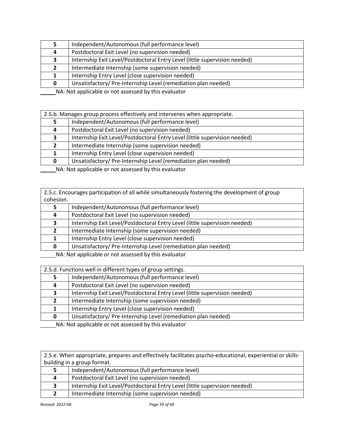| Independent/Autonomous (full performance level)                                                                                                                                                                                    |
|------------------------------------------------------------------------------------------------------------------------------------------------------------------------------------------------------------------------------------|
| Postdoctoral Exit Level (no supervision needed)                                                                                                                                                                                    |
| Internship Exit Level/Postdoctoral Entry Level (little supervision needed)                                                                                                                                                         |
| Intermediate Internship (some supervision needed)                                                                                                                                                                                  |
| Internship Entry Level (close supervision needed)                                                                                                                                                                                  |
| Unsatisfactory/Pre-Internship Level (remediation plan needed)                                                                                                                                                                      |
| <b>ALA</b> ALABA A CARD ALABA A CARD A CARD A CARD ALABA A CARD A LA CARD A CARD A CARD A CARD A CARD A CARD A CARD A CARD A CARD A CARD A CARD A CARD A CARD A CARD A CARD A CARD A CARD A CARD A CARD A CARD A CARD A CARD A CAR |

| 2.5.b. Manages group process effectively and intervenes when appropriate. |                                                                            |
|---------------------------------------------------------------------------|----------------------------------------------------------------------------|
|                                                                           | Independent/Autonomous (full performance level)                            |
| 4                                                                         | Postdoctoral Exit Level (no supervision needed)                            |
| 2                                                                         | Internship Exit Level/Postdoctoral Entry Level (little supervision needed) |
|                                                                           | Intermediate Internship (some supervision needed)                          |
|                                                                           | Internship Entry Level (close supervision needed)                          |
| 0                                                                         | Unsatisfactory/Pre-Internship Level (remediation plan needed)              |
| MA, Net oppliedels annual secondary but die such atom                     |                                                                            |

NA: Not applicable or not assessed by this evaluator

2.5.c. Encourages participation of all while simultaneously fostering the development of group cohesion.

|                                                     | Independent/Autonomous (full performance level)                            |
|-----------------------------------------------------|----------------------------------------------------------------------------|
| 4                                                   | Postdoctoral Exit Level (no supervision needed)                            |
|                                                     | Internship Exit Level/Postdoctoral Entry Level (little supervision needed) |
|                                                     | Intermediate Internship (some supervision needed)                          |
|                                                     | Internship Entry Level (close supervision needed)                          |
|                                                     | Unsatisfactory/Pre-Internship Level (remediation plan needed)              |
| MA, Not applicable or not accorded butbic ovaluator |                                                                            |

NA: Not applicable or not assessed by this evaluator

| 2.5.d. Functions well in different types of group settings.                                                            |                                                                            |
|------------------------------------------------------------------------------------------------------------------------|----------------------------------------------------------------------------|
|                                                                                                                        | Independent/Autonomous (full performance level)                            |
| 4                                                                                                                      | Postdoctoral Exit Level (no supervision needed)                            |
| 2                                                                                                                      | Internship Exit Level/Postdoctoral Entry Level (little supervision needed) |
|                                                                                                                        | Intermediate Internship (some supervision needed)                          |
|                                                                                                                        | Internship Entry Level (close supervision needed)                          |
| 0                                                                                                                      | Unsatisfactory/Pre-Internship Level (remediation plan needed)              |
| <b>ARABIA DE LES DE LA CARDINA DE LA CARDINA DE LA CARDINA DE LA CARDINA DE LA CARDINA DE LA CARDINA DE LA CARDINA</b> |                                                                            |

NA: Not applicable or not assessed by this evaluator

2.5.e. When appropriate, prepares and effectively facilitates psycho-educational, experiential or skillsbuilding in a group format.

| Postdoctoral Exit Level (no supervision needed)<br>4<br>Internship Exit Level/Postdoctoral Entry Level (little supervision needed) | Independent/Autonomous (full performance level) |
|------------------------------------------------------------------------------------------------------------------------------------|-------------------------------------------------|
|                                                                                                                                    |                                                 |
|                                                                                                                                    |                                                 |
| Intermediate Internship (some supervision needed)                                                                                  |                                                 |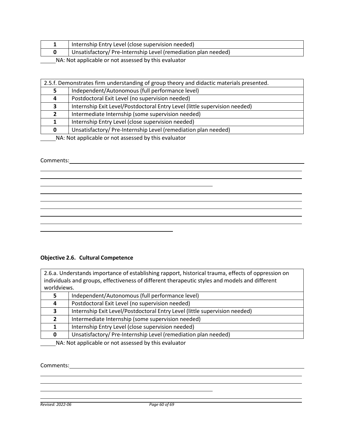| Internship Entry Level (close supervision needed)             |
|---------------------------------------------------------------|
| Unsatisfactory/Pre-Internship Level (remediation plan needed) |
|                                                               |

| 2.5.f. Demonstrates firm understanding of group theory and didactic materials presented. |                                                                            |
|------------------------------------------------------------------------------------------|----------------------------------------------------------------------------|
|                                                                                          | Independent/Autonomous (full performance level)                            |
|                                                                                          | Postdoctoral Exit Level (no supervision needed)                            |
| э.                                                                                       | Internship Exit Level/Postdoctoral Entry Level (little supervision needed) |
|                                                                                          | Intermediate Internship (some supervision needed)                          |
|                                                                                          | Internship Entry Level (close supervision needed)                          |
| 0                                                                                        | Unsatisfactory/Pre-Internship Level (remediation plan needed)              |
| NA . Net explicable as set essessed but this supporter                                   |                                                                            |

\_\_\_\_\_\_NA: Not applicable or not assessed by this evaluator

<u> 1989 - Andrea Barbara, Amerikaansk politiker (d. 1989)</u>

# Comments:

# **Objective 2.6. Cultural Competence**

2.6.a. Understands importance of establishing rapport, historical trauma, effects of oppression on individuals and groups, effectiveness of different therapeutic styles and models and different worldviews.

|   | Independent/Autonomous (full performance level)                                                                                                                                                                                 |
|---|---------------------------------------------------------------------------------------------------------------------------------------------------------------------------------------------------------------------------------|
| 4 | Postdoctoral Exit Level (no supervision needed)                                                                                                                                                                                 |
|   | Internship Exit Level/Postdoctoral Entry Level (little supervision needed)                                                                                                                                                      |
|   | Intermediate Internship (some supervision needed)                                                                                                                                                                               |
|   | Internship Entry Level (close supervision needed)                                                                                                                                                                               |
|   | Unsatisfactory/Pre-Internship Level (remediation plan needed)                                                                                                                                                                   |
|   | $\sim$ . The set of the set of the set of the set of the set of the set of the set of the set of the set of the set of the set of the set of the set of the set of the set of the set of the set of the set of the set of the s |

MA: Not applicable or not assessed by this evaluator

#### Comments:

*Revised: 2022-06 Page 60 of 69*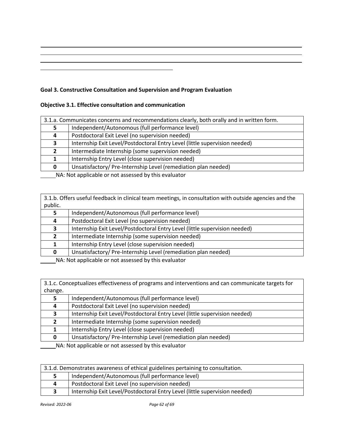# **Goal 3. Constructive Consultation and Supervision and Program Evaluation**

# **Objective 3.1. Effective consultation and communication**

| 3.1.a. Communicates concerns and recommendations clearly, both orally and in written form. |                                                                            |
|--------------------------------------------------------------------------------------------|----------------------------------------------------------------------------|
|                                                                                            | Independent/Autonomous (full performance level)                            |
|                                                                                            | Postdoctoral Exit Level (no supervision needed)                            |
|                                                                                            | Internship Exit Level/Postdoctoral Entry Level (little supervision needed) |
|                                                                                            | Intermediate Internship (some supervision needed)                          |
|                                                                                            | Internship Entry Level (close supervision needed)                          |
| 0                                                                                          | Unsatisfactory/Pre-Internship Level (remediation plan needed)              |
| MA . Materializable concert concertable this confliction                                   |                                                                            |

NA: Not applicable or not assessed by this evaluator

3.1.b. Offers useful feedback in clinical team meetings, in consultation with outside agencies and the public.

|   | Independent/Autonomous (full performance level)                            |
|---|----------------------------------------------------------------------------|
| 4 | Postdoctoral Exit Level (no supervision needed)                            |
|   | Internship Exit Level/Postdoctoral Entry Level (little supervision needed) |
|   | Intermediate Internship (some supervision needed)                          |
|   | Internship Entry Level (close supervision needed)                          |
|   | Unsatisfactory/Pre-Internship Level (remediation plan needed)              |
|   |                                                                            |

NA: Not applicable or not assessed by this evaluator

3.1.c. Conceptualizes effectiveness of programs and interventions and can communicate targets for change.

|                                                      | Independent/Autonomous (full performance level)                            |
|------------------------------------------------------|----------------------------------------------------------------------------|
| 4                                                    | Postdoctoral Exit Level (no supervision needed)                            |
|                                                      | Internship Exit Level/Postdoctoral Entry Level (little supervision needed) |
|                                                      | Intermediate Internship (some supervision needed)                          |
|                                                      | Internship Entry Level (close supervision needed)                          |
|                                                      | Unsatisfactory/Pre-Internship Level (remediation plan needed)              |
| NA . Not applicable as not accorded butbic qualupter |                                                                            |

| 3.1.d. Demonstrates awareness of ethical guidelines pertaining to consultation. |                                                                            |
|---------------------------------------------------------------------------------|----------------------------------------------------------------------------|
|                                                                                 | Independent/Autonomous (full performance level)                            |
| 4                                                                               | Postdoctoral Exit Level (no supervision needed)                            |
|                                                                                 | Internship Exit Level/Postdoctoral Entry Level (little supervision needed) |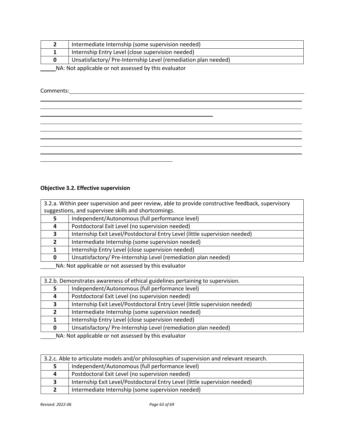|                                                                 | Intermediate Internship (some supervision needed)             |
|-----------------------------------------------------------------|---------------------------------------------------------------|
|                                                                 | Internship Entry Level (close supervision needed)             |
|                                                                 | Unsatisfactory/Pre-Internship Level (remediation plan needed) |
| <b>ALA ALALA CONFEDERATION CONTENTS OF ALALA AREA CONTENTS.</b> |                                                               |

Comments:

# **Objective 3.2. Effective supervision**

| 3.2.a. Within peer supervision and peer review, able to provide constructive feedback, supervisory |                                                                            |
|----------------------------------------------------------------------------------------------------|----------------------------------------------------------------------------|
| suggestions, and supervisee skills and shortcomings.                                               |                                                                            |
|                                                                                                    | Independent/Autonomous (full performance level)                            |
| 4                                                                                                  | Postdoctoral Exit Level (no supervision needed)                            |
|                                                                                                    | Internship Exit Level/Postdoctoral Entry Level (little supervision needed) |
| $\mathbf{2}$                                                                                       | Intermediate Internship (some supervision needed)                          |
|                                                                                                    | Internship Entry Level (close supervision needed)                          |
|                                                                                                    | Unsatisfactory/Pre-Internship Level (remediation plan needed)              |

NA: Not applicable or not assessed by this evaluator

| 3.2.b. Demonstrates awareness of ethical guidelines pertaining to supervision. |                                                                            |
|--------------------------------------------------------------------------------|----------------------------------------------------------------------------|
|                                                                                | Independent/Autonomous (full performance level)                            |
| 4                                                                              | Postdoctoral Exit Level (no supervision needed)                            |
|                                                                                | Internship Exit Level/Postdoctoral Entry Level (little supervision needed) |
|                                                                                | Intermediate Internship (some supervision needed)                          |
|                                                                                | Internship Entry Level (close supervision needed)                          |
| 0                                                                              | Unsatisfactory/Pre-Internship Level (remediation plan needed)              |

| 3.2.c. Able to articulate models and/or philosophies of supervision and relevant research. |                                                                            |
|--------------------------------------------------------------------------------------------|----------------------------------------------------------------------------|
|                                                                                            | Independent/Autonomous (full performance level)                            |
| $\mathbf{a}$                                                                               | Postdoctoral Exit Level (no supervision needed)                            |
|                                                                                            | Internship Exit Level/Postdoctoral Entry Level (little supervision needed) |
|                                                                                            | Intermediate Internship (some supervision needed)                          |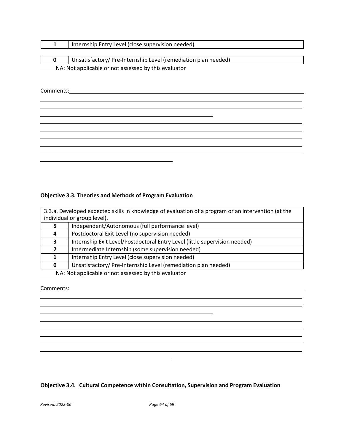| Internship Entry Level (close supervision needed)             |
|---------------------------------------------------------------|
|                                                               |
|                                                               |
| Unsatisfactory/Pre-Internship Level (remediation plan needed) |

Comments:

#### **Objective 3.3. Theories and Methods of Program Evaluation**

| 3.3.a. Developed expected skills in knowledge of evaluation of a program or an intervention (at the<br>individual or group level). |                                                                            |
|------------------------------------------------------------------------------------------------------------------------------------|----------------------------------------------------------------------------|
|                                                                                                                                    | Independent/Autonomous (full performance level)                            |
|                                                                                                                                    | Postdoctoral Exit Level (no supervision needed)                            |
| ર                                                                                                                                  | Internship Exit Level/Postdoctoral Entry Level (little supervision needed) |
| 2                                                                                                                                  | Intermediate Internship (some supervision needed)                          |
|                                                                                                                                    | Internship Entry Level (close supervision needed)                          |
|                                                                                                                                    | Unsatisfactory/Pre-Internship Level (remediation plan needed)              |
|                                                                                                                                    |                                                                            |

 $\overline{\phantom{a}}$ 

**NA: Not applicable or not assessed by this evaluator** 

#### Comments:

# **Objective 3.4. Cultural Competence within Consultation, Supervision and Program Evaluation**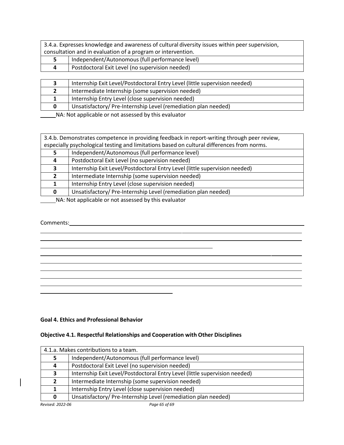| 3.4.a. Expresses knowledge and awareness of cultural diversity issues within peer supervision, |                                                 |  |
|------------------------------------------------------------------------------------------------|-------------------------------------------------|--|
| consultation and in evaluation of a program or intervention.                                   |                                                 |  |
|                                                                                                | Independent/Autonomous (full performance level) |  |
|                                                                                                | Postdoctoral Exit Level (no supervision needed) |  |

|   | Internship Exit Level/Postdoctoral Entry Level (little supervision needed) |
|---|----------------------------------------------------------------------------|
|   | Intermediate Internship (some supervision needed)                          |
|   | Internship Entry Level (close supervision needed)                          |
| o | Unsatisfactory/Pre-Internship Level (remediation plan needed)              |
|   |                                                                            |

|  |  |  |  | 3.4.b. Demonstrates competence in providing feedback in report-writing through peer review,  |
|--|--|--|--|----------------------------------------------------------------------------------------------|
|  |  |  |  | s especially psychological testing and limitations based on cultural differences from norms. |
|  |  |  |  |                                                                                              |

|                                                          | Independent/Autonomous (full performance level)                            |  |  |
|----------------------------------------------------------|----------------------------------------------------------------------------|--|--|
| 4                                                        | Postdoctoral Exit Level (no supervision needed)                            |  |  |
|                                                          | Internship Exit Level/Postdoctoral Entry Level (little supervision needed) |  |  |
|                                                          | Intermediate Internship (some supervision needed)                          |  |  |
|                                                          | Internship Entry Level (close supervision needed)                          |  |  |
| 0                                                        | Unsatisfactory/Pre-Internship Level (remediation plan needed)              |  |  |
| MA : Matematicalde en note excessed localité en el caten |                                                                            |  |  |

NA: Not applicable or not assessed by this evaluator

# Comments:

#### **Goal 4. Ethics and Professional Behavior**

#### **Objective 4.1. Respectful Relationships and Cooperation with Other Disciplines**

|                  | 4.1.a. Makes contributions to a team.                                      |  |  |  |
|------------------|----------------------------------------------------------------------------|--|--|--|
| 5                | Independent/Autonomous (full performance level)                            |  |  |  |
| 4                | Postdoctoral Exit Level (no supervision needed)                            |  |  |  |
| 3                | Internship Exit Level/Postdoctoral Entry Level (little supervision needed) |  |  |  |
| $\overline{2}$   | Intermediate Internship (some supervision needed)                          |  |  |  |
| 1                | Internship Entry Level (close supervision needed)                          |  |  |  |
| 0                | Unsatisfactory/Pre-Internship Level (remediation plan needed)              |  |  |  |
| Revised: 2022-06 | Page 65 of 69                                                              |  |  |  |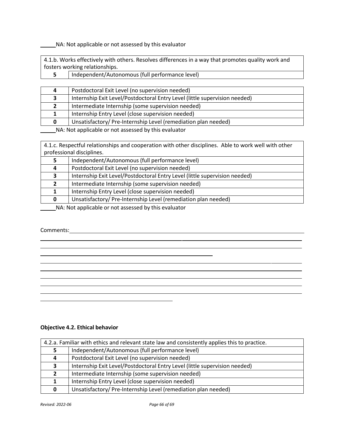Independent/Autonomous (full performance level)

4.1.b. Works effectively with others. Resolves differences in a way that promotes quality work and fosters working relationships.

| 4 | Postdoctoral Exit Level (no supervision needed)                            |
|---|----------------------------------------------------------------------------|
|   | Internship Exit Level/Postdoctoral Entry Level (little supervision needed) |
|   | Intermediate Internship (some supervision needed)                          |
|   | Internship Entry Level (close supervision needed)                          |
| 0 | Unsatisfactory/Pre-Internship Level (remediation plan needed)              |

NA: Not applicable or not assessed by this evaluator

4.1.c. Respectful relationships and cooperation with other disciplines. Able to work well with other professional disciplines.

|                                                      | Independent/Autonomous (full performance level)                            |  |  |
|------------------------------------------------------|----------------------------------------------------------------------------|--|--|
| 4                                                    | Postdoctoral Exit Level (no supervision needed)                            |  |  |
|                                                      | Internship Exit Level/Postdoctoral Entry Level (little supervision needed) |  |  |
|                                                      | Intermediate Internship (some supervision needed)                          |  |  |
|                                                      | Internship Entry Level (close supervision needed)                          |  |  |
| 0                                                    | Unsatisfactory/Pre-Internship Level (remediation plan needed)              |  |  |
| NA . Net enalizable as not essessed buthis such star |                                                                            |  |  |

# NA: Not applicable or not assessed by this evaluator

#### Comments:

**Objective 4.2. Ethical behavior**

| 4.2.a. Familiar with ethics and relevant state law and consistently applies this to practice. |                                                                            |  |  |
|-----------------------------------------------------------------------------------------------|----------------------------------------------------------------------------|--|--|
|                                                                                               | Independent/Autonomous (full performance level)                            |  |  |
| 4                                                                                             | Postdoctoral Exit Level (no supervision needed)                            |  |  |
|                                                                                               | Internship Exit Level/Postdoctoral Entry Level (little supervision needed) |  |  |
|                                                                                               | Intermediate Internship (some supervision needed)                          |  |  |
|                                                                                               | Internship Entry Level (close supervision needed)                          |  |  |
|                                                                                               | Unsatisfactory/Pre-Internship Level (remediation plan needed)              |  |  |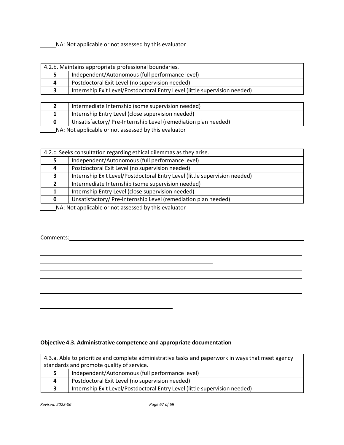| 4.2.b. Maintains appropriate professional boundaries. |                                                                            |  |  |
|-------------------------------------------------------|----------------------------------------------------------------------------|--|--|
|                                                       | Independent/Autonomous (full performance level)                            |  |  |
| 4                                                     | Postdoctoral Exit Level (no supervision needed)                            |  |  |
|                                                       | Internship Exit Level/Postdoctoral Entry Level (little supervision needed) |  |  |

|  | Intermediate Internship (some supervision needed)             |  |  |
|--|---------------------------------------------------------------|--|--|
|  | Internship Entry Level (close supervision needed)             |  |  |
|  | Unsatisfactory/Pre-Internship Level (remediation plan needed) |  |  |
|  |                                                               |  |  |

**NA: Not applicable or not assessed by this evaluator** 

| 4.2.c. Seeks consultation regarding ethical dilemmas as they arise. |                                                                            |  |  |
|---------------------------------------------------------------------|----------------------------------------------------------------------------|--|--|
|                                                                     | Independent/Autonomous (full performance level)                            |  |  |
| 4                                                                   | Postdoctoral Exit Level (no supervision needed)                            |  |  |
| 3                                                                   | Internship Exit Level/Postdoctoral Entry Level (little supervision needed) |  |  |
|                                                                     | Intermediate Internship (some supervision needed)                          |  |  |
|                                                                     | Internship Entry Level (close supervision needed)                          |  |  |
| 0                                                                   | Unsatisfactory/Pre-Internship Level (remediation plan needed)              |  |  |
| NA: Not applicable or not accossed by this evaluator                |                                                                            |  |  |

NA: Not applicable or not assessed by this evaluator

#### Comments:



# **Objective 4.3. Administrative competence and appropriate documentation**

| 4.3.a. Able to prioritize and complete administrative tasks and paperwork in ways that meet agency |                                                                            |  |  |
|----------------------------------------------------------------------------------------------------|----------------------------------------------------------------------------|--|--|
| standards and promote quality of service.                                                          |                                                                            |  |  |
|                                                                                                    | Independent/Autonomous (full performance level)                            |  |  |
| 4                                                                                                  | Postdoctoral Exit Level (no supervision needed)                            |  |  |
|                                                                                                    | Internship Exit Level/Postdoctoral Entry Level (little supervision needed) |  |  |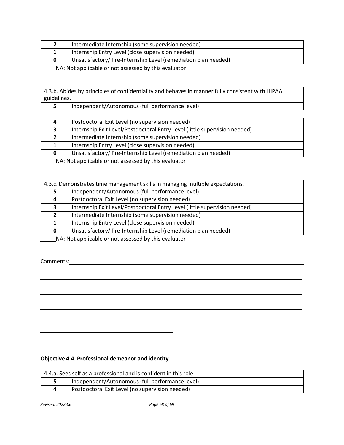|  | Intermediate Internship (some supervision needed)             |
|--|---------------------------------------------------------------|
|  | Internship Entry Level (close supervision needed)             |
|  | Unsatisfactory/Pre-Internship Level (remediation plan needed) |
|  |                                                               |

4.3.b. Abides by principles of confidentiality and behaves in manner fully consistent with HIPAA guidelines.

| _____ |                                                 |
|-------|-------------------------------------------------|
|       | Independent/Autonomous (full performance level) |
|       |                                                 |

| 4 | Postdoctoral Exit Level (no supervision needed)                            |
|---|----------------------------------------------------------------------------|
|   | Internship Exit Level/Postdoctoral Entry Level (little supervision needed) |
|   | Intermediate Internship (some supervision needed)                          |
|   | Internship Entry Level (close supervision needed)                          |
| 0 | Unsatisfactory/Pre-Internship Level (remediation plan needed)              |
|   |                                                                            |

NA: Not applicable or not assessed by this evaluator

| 4.3.c. Demonstrates time management skills in managing multiple expectations. |                                                                            |  |
|-------------------------------------------------------------------------------|----------------------------------------------------------------------------|--|
|                                                                               | Independent/Autonomous (full performance level)                            |  |
| Д                                                                             | Postdoctoral Exit Level (no supervision needed)                            |  |
|                                                                               | Internship Exit Level/Postdoctoral Entry Level (little supervision needed) |  |
| 2                                                                             | Intermediate Internship (some supervision needed)                          |  |
|                                                                               | Internship Entry Level (close supervision needed)                          |  |
| 0                                                                             | Unsatisfactory/Pre-Internship Level (remediation plan needed)              |  |

\_\_\_\_\_\_NA: Not applicable or not assessed by this evaluator

<u> 1989 - Johann Barn, mars eta bainar eta idazlea (h. 1989).</u>

Comments: <u>comments:</u> comments: comments: comments: comments: comments: comments: comments: comments: comments: comments: comments: comments: comments: comments: comments: comments: comments: comments: comments: comments:

# **Objective 4.4. Professional demeanor and identity**

| 4.4.a. Sees self as a professional and is confident in this role. |                                                 |  |
|-------------------------------------------------------------------|-------------------------------------------------|--|
|                                                                   | Independent/Autonomous (full performance level) |  |
|                                                                   | Postdoctoral Exit Level (no supervision needed) |  |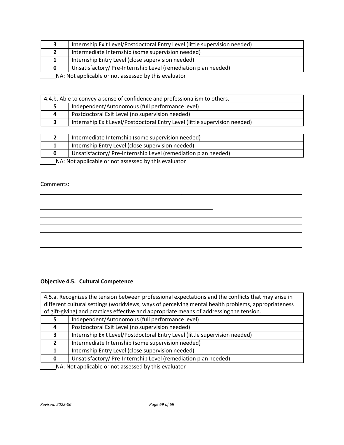|                                                      | Internship Exit Level/Postdoctoral Entry Level (little supervision needed) |  |
|------------------------------------------------------|----------------------------------------------------------------------------|--|
|                                                      | Intermediate Internship (some supervision needed)                          |  |
|                                                      | Internship Entry Level (close supervision needed)                          |  |
| 0                                                    | Unsatisfactory/ Pre-Internship Level (remediation plan needed)             |  |
| NA: Not applicable or not assessed by this evaluator |                                                                            |  |

| 4.4.b. Able to convey a sense of confidence and professionalism to others. |                                                 |  |  |
|----------------------------------------------------------------------------|-------------------------------------------------|--|--|
|                                                                            | Independent/Autonomous (full performance level) |  |  |
| 4                                                                          | Postdoctoral Exit Level (no supervision needed) |  |  |
| Internship Exit Level/Postdoctoral Entry Level (little supervision needed) |                                                 |  |  |

| Intermediate Internship (some supervision needed)             |
|---------------------------------------------------------------|
| Internship Entry Level (close supervision needed)             |
| Unsatisfactory/Pre-Internship Level (remediation plan needed) |

#### Comments:

# **Objective 4.5. Cultural Competence**

| 4.5.a. Recognizes the tension between professional expectations and the conflicts that may arise in |                                                                            |  |
|-----------------------------------------------------------------------------------------------------|----------------------------------------------------------------------------|--|
| different cultural settings (worldviews, ways of perceiving mental health problems, appropriateness |                                                                            |  |
| of gift-giving) and practices effective and appropriate means of addressing the tension.            |                                                                            |  |
|                                                                                                     | Independent/Autonomous (full performance level)                            |  |
| 4                                                                                                   | Postdoctoral Exit Level (no supervision needed)                            |  |
| 3.                                                                                                  | Internship Exit Level/Postdoctoral Entry Level (little supervision needed) |  |
| $\mathbf{2}$                                                                                        | Intermediate Internship (some supervision needed)                          |  |
|                                                                                                     | Internship Entry Level (close supervision needed)                          |  |
| 0                                                                                                   | Unsatisfactory/Pre-Internship Level (remediation plan needed)              |  |
| $NA$ Not annicable or not assessed by this evaluator                                                |                                                                            |  |

 $\overline{\phantom{a}}$ 

and the control of the control of the control of the control of the control of the control of the control of the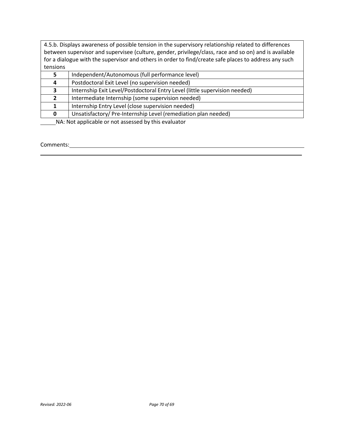4.5.b. Displays awareness of possible tension in the supervisory relationship related to differences between supervisor and supervisee (culture, gender, privilege/class, race and so on) and is available for a dialogue with the supervisor and others in order to find/create safe places to address any such tensions

| 5                                                                                                              | Independent/Autonomous (full performance level)                            |
|----------------------------------------------------------------------------------------------------------------|----------------------------------------------------------------------------|
| 4                                                                                                              | Postdoctoral Exit Level (no supervision needed)                            |
| 3                                                                                                              | Internship Exit Level/Postdoctoral Entry Level (little supervision needed) |
|                                                                                                                | Intermediate Internship (some supervision needed)                          |
|                                                                                                                | Internship Entry Level (close supervision needed)                          |
| 0                                                                                                              | Unsatisfactory/Pre-Internship Level (remediation plan needed)              |
| 그 아이들은 그 사람들은 그 사람들은 그 사람들을 지르며 그 사람들을 지르며 그 사람들을 지르며 그 사람들을 지르며 그 사람들을 지르며 그 사람들을 지르며 그 사람들을 지르며 그 사람들을 지르며 그 |                                                                            |

NA: Not applicable or not assessed by this evaluator

#### Comments: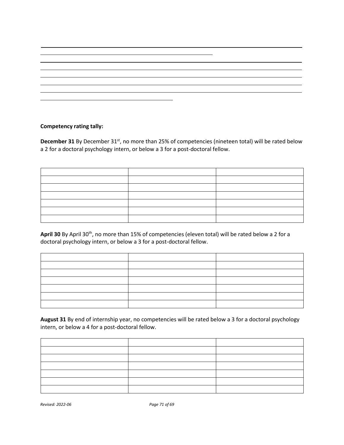# **Competency rating tally:**

**December 31** By December 31<sup>st</sup>, no more than 25% of competencies (nineteen total) will be rated below a 2 for a doctoral psychology intern, or below a 3 for a post-doctoral fellow.

April 30 By April 30<sup>th</sup>, no more than 15% of competencies (eleven total) will be rated below a 2 for a doctoral psychology intern, or below a 3 for a post-doctoral fellow.

**August 31** By end of internship year, no competencies will be rated below a 3 for a doctoral psychology intern, or below a 4 for a post-doctoral fellow.